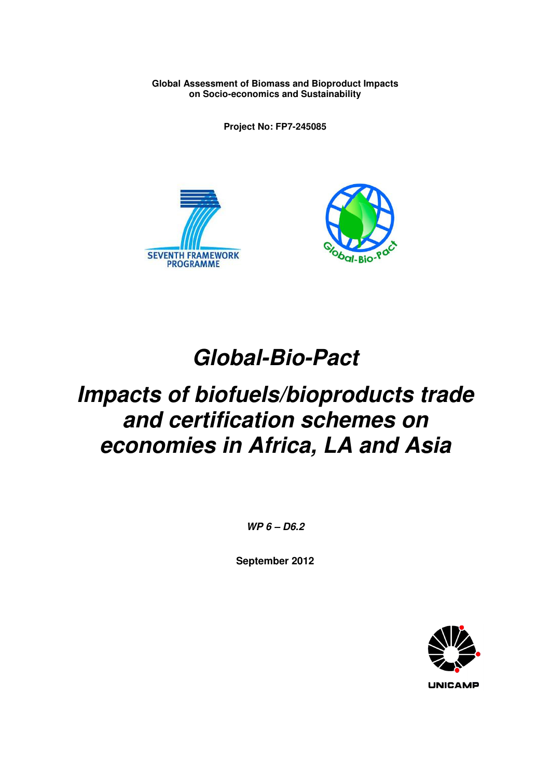**Global Assessment of Biomass and Bioproduct Impacts on Socio-economics and Sustainability** 

**Project No: FP7-245085** 





# **Global-Bio-Pact**

# **Impacts of biofuels/bioproducts trade and certification schemes on economies in Africa, LA and Asia**

**WP 6 – D6.2** 

**September 2012** 

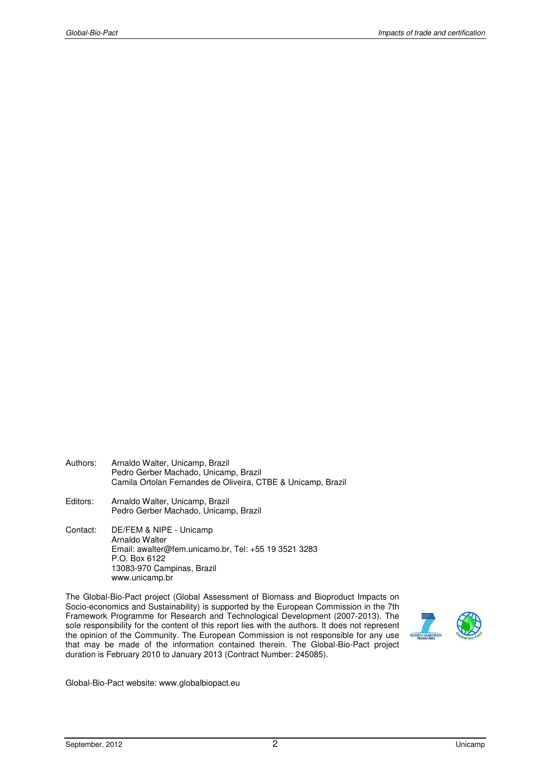- Authors: Arnaldo Walter, Unicamp, Brazil Pedro Gerber Machado, Unicamp, Brazil Camila Ortolan Fernandes de Oliveira, CTBE & Unicamp, Brazil
- Editors: Arnaldo Walter, Unicamp, Brazil Pedro Gerber Machado, Unicamp, Brazil
- Contact: DE/FEM & NIPE Unicamp Arnaldo Walter Email: awalter@fem.unicamo.br, Tel: +55 19 3521 3283 P.O. Box 6122 13083-970 Campinas, Brazil www.unicamp.br

The Global-Bio-Pact project (Global Assessment of Biomass and Bioproduct Impacts on Socio-economics and Sustainability) is supported by the European Commission in the 7th Framework Programme for Research and Technological Development (2007-2013). The sole responsibility for the content of this report lies with the authors. It does not represent the opinion of the Community. The European Commission is not responsible for any use that may be made of the information contained therein. The Global-Bio-Pact project duration is February 2010 to January 2013 (Contract Number: 245085).



Global-Bio-Pact website: www.globalbiopact.eu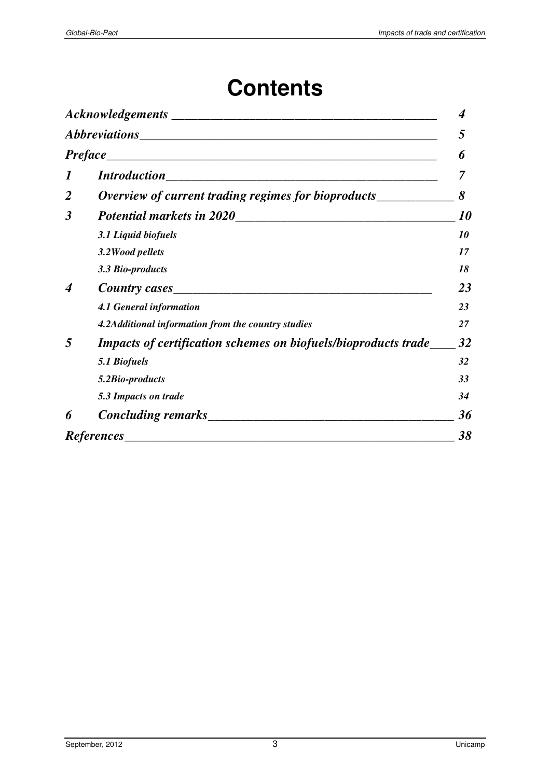# **Contents**

|                      |                                                                       | 4                |
|----------------------|-----------------------------------------------------------------------|------------------|
|                      |                                                                       |                  |
|                      |                                                                       | 6                |
| 1                    |                                                                       |                  |
| $\overline{2}$       | Overview of current trading regimes for bioproducts___________        |                  |
| $\boldsymbol{\beta}$ | Potential markets in 2020<br><u>International</u>                     | <i><b>10</b></i> |
|                      | 3.1 Liquid biofuels                                                   | 10               |
|                      | 3.2 Wood pellets                                                      | 17               |
|                      | 3.3 Bio-products                                                      | 18               |
| 4                    |                                                                       | 23               |
|                      | <b>4.1 General information</b>                                        | 23               |
|                      | 4.2Additional information from the country studies                    | 27               |
| 5                    | <b>Impacts of certification schemes on biofuels/bioproducts trade</b> | 32               |
|                      | 5.1 Biofuels                                                          | 32               |
|                      | 5.2Bio-products                                                       | 33               |
|                      | 5.3 Impacts on trade                                                  | 34               |
| 6                    |                                                                       | 36               |
|                      | <b>References</b>                                                     | 38               |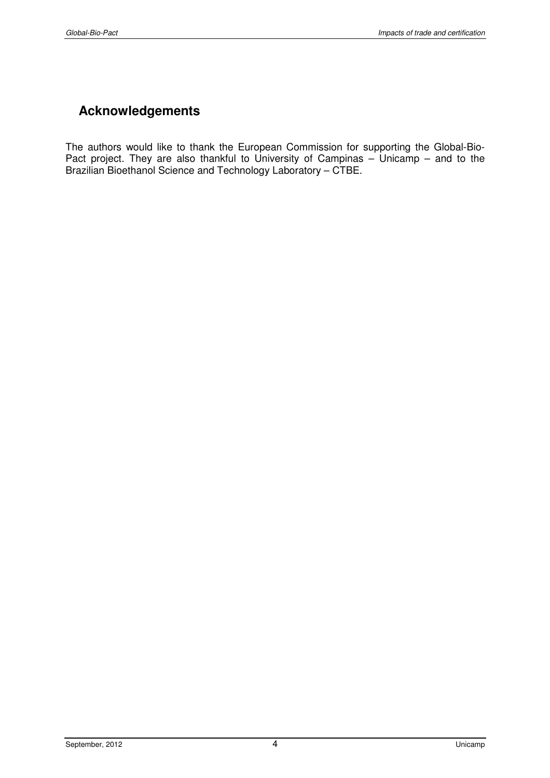# **Acknowledgements**

The authors would like to thank the European Commission for supporting the Global-Bio-Pact project. They are also thankful to University of Campinas – Unicamp – and to the Brazilian Bioethanol Science and Technology Laboratory – CTBE.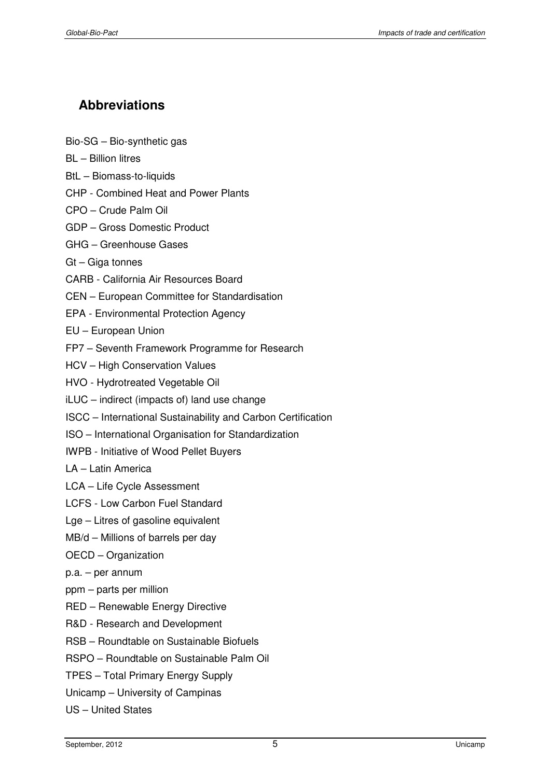# **Abbreviations**

- Bio-SG Bio-synthetic gas
- BL Billion litres
- BtL Biomass-to-liquids
- CHP Combined Heat and Power Plants
- CPO Crude Palm Oil
- GDP Gross Domestic Product
- GHG Greenhouse Gases
- Gt Giga tonnes
- CARB California Air Resources Board
- CEN European Committee for Standardisation
- EPA Environmental Protection Agency
- EU European Union
- FP7 Seventh Framework Programme for Research
- HCV High Conservation Values
- HVO Hydrotreated Vegetable Oil
- iLUC indirect (impacts of) land use change
- ISCC International Sustainability and Carbon Certification
- ISO International Organisation for Standardization
- IWPB Initiative of Wood Pellet Buyers
- LA Latin America
- LCA Life Cycle Assessment
- LCFS Low Carbon Fuel Standard
- Lge Litres of gasoline equivalent
- MB/d Millions of barrels per day
- OECD Organization
- p.a. per annum
- ppm parts per million
- RED Renewable Energy Directive
- R&D Research and Development
- RSB Roundtable on Sustainable Biofuels
- RSPO Roundtable on Sustainable Palm Oil
- TPES Total Primary Energy Supply
- Unicamp University of Campinas
- US United States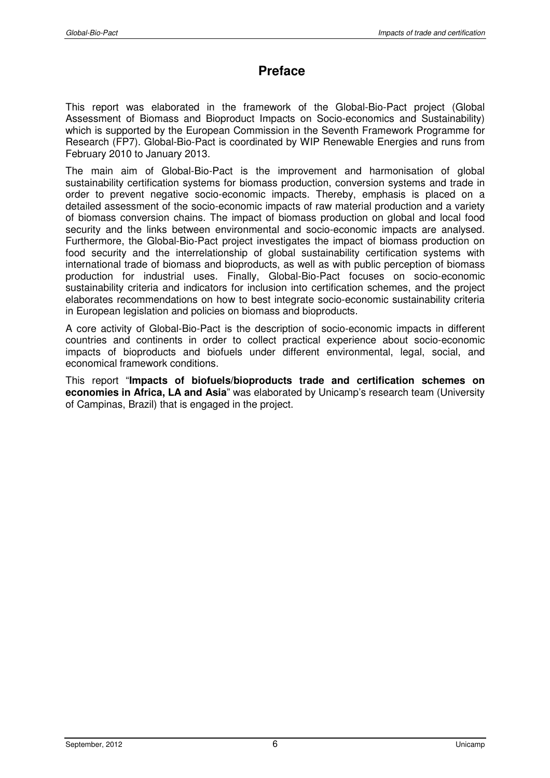# **Preface**

This report was elaborated in the framework of the Global-Bio-Pact project (Global Assessment of Biomass and Bioproduct Impacts on Socio-economics and Sustainability) which is supported by the European Commission in the Seventh Framework Programme for Research (FP7). Global-Bio-Pact is coordinated by WIP Renewable Energies and runs from February 2010 to January 2013.

The main aim of Global-Bio-Pact is the improvement and harmonisation of global sustainability certification systems for biomass production, conversion systems and trade in order to prevent negative socio-economic impacts. Thereby, emphasis is placed on a detailed assessment of the socio-economic impacts of raw material production and a variety of biomass conversion chains. The impact of biomass production on global and local food security and the links between environmental and socio-economic impacts are analysed. Furthermore, the Global-Bio-Pact project investigates the impact of biomass production on food security and the interrelationship of global sustainability certification systems with international trade of biomass and bioproducts, as well as with public perception of biomass production for industrial uses. Finally, Global-Bio-Pact focuses on socio-economic sustainability criteria and indicators for inclusion into certification schemes, and the project elaborates recommendations on how to best integrate socio-economic sustainability criteria in European legislation and policies on biomass and bioproducts.

A core activity of Global-Bio-Pact is the description of socio-economic impacts in different countries and continents in order to collect practical experience about socio-economic impacts of bioproducts and biofuels under different environmental, legal, social, and economical framework conditions.

This report "**Impacts of biofuels/bioproducts trade and certification schemes on economies in Africa, LA and Asia**" was elaborated by Unicamp's research team (University of Campinas, Brazil) that is engaged in the project.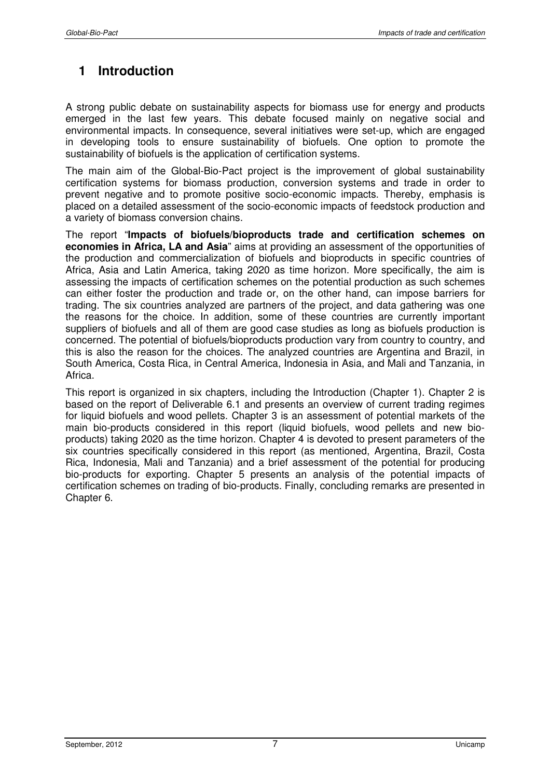# **1 Introduction**

A strong public debate on sustainability aspects for biomass use for energy and products emerged in the last few vears. This debate focused mainly on negative social and environmental impacts. In consequence, several initiatives were set-up, which are engaged in developing tools to ensure sustainability of biofuels. One option to promote the sustainability of biofuels is the application of certification systems.

The main aim of the Global-Bio-Pact project is the improvement of global sustainability certification systems for biomass production, conversion systems and trade in order to prevent negative and to promote positive socio-economic impacts. Thereby, emphasis is placed on a detailed assessment of the socio-economic impacts of feedstock production and a variety of biomass conversion chains.

The report "**Impacts of biofuels/bioproducts trade and certification schemes on economies in Africa, LA and Asia**" aims at providing an assessment of the opportunities of the production and commercialization of biofuels and bioproducts in specific countries of Africa, Asia and Latin America, taking 2020 as time horizon. More specifically, the aim is assessing the impacts of certification schemes on the potential production as such schemes can either foster the production and trade or, on the other hand, can impose barriers for trading. The six countries analyzed are partners of the project, and data gathering was one the reasons for the choice. In addition, some of these countries are currently important suppliers of biofuels and all of them are good case studies as long as biofuels production is concerned. The potential of biofuels/bioproducts production vary from country to country, and this is also the reason for the choices. The analyzed countries are Argentina and Brazil, in South America, Costa Rica, in Central America, Indonesia in Asia, and Mali and Tanzania, in Africa.

This report is organized in six chapters, including the Introduction (Chapter 1). Chapter 2 is based on the report of Deliverable 6.1 and presents an overview of current trading regimes for liquid biofuels and wood pellets. Chapter 3 is an assessment of potential markets of the main bio-products considered in this report (liquid biofuels, wood pellets and new bioproducts) taking 2020 as the time horizon. Chapter 4 is devoted to present parameters of the six countries specifically considered in this report (as mentioned, Argentina, Brazil, Costa Rica, Indonesia, Mali and Tanzania) and a brief assessment of the potential for producing bio-products for exporting. Chapter 5 presents an analysis of the potential impacts of certification schemes on trading of bio-products. Finally, concluding remarks are presented in Chapter 6.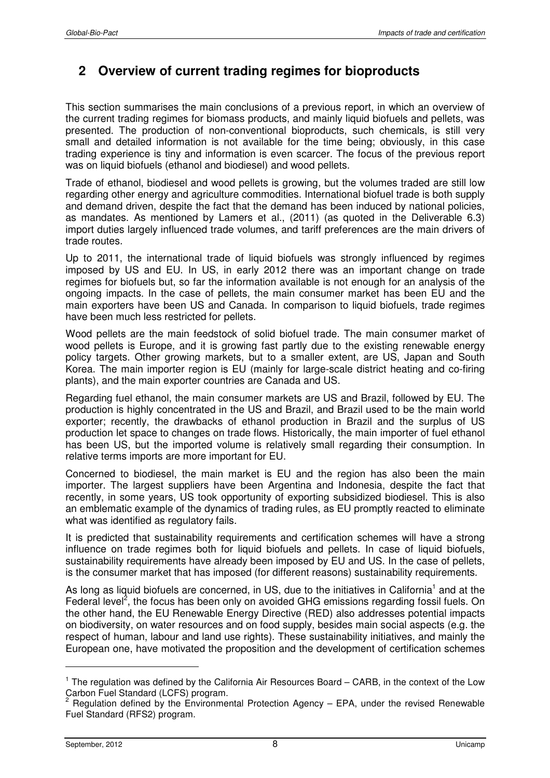# **2 Overview of current trading regimes for bioproducts**

This section summarises the main conclusions of a previous report, in which an overview of the current trading regimes for biomass products, and mainly liquid biofuels and pellets, was presented. The production of non-conventional bioproducts, such chemicals, is still very small and detailed information is not available for the time being; obviously, in this case trading experience is tiny and information is even scarcer. The focus of the previous report was on liquid biofuels (ethanol and biodiesel) and wood pellets.

Trade of ethanol, biodiesel and wood pellets is growing, but the volumes traded are still low regarding other energy and agriculture commodities. International biofuel trade is both supply and demand driven, despite the fact that the demand has been induced by national policies, as mandates. As mentioned by Lamers et al., (2011) (as quoted in the Deliverable 6.3) import duties largely influenced trade volumes, and tariff preferences are the main drivers of trade routes.

Up to 2011, the international trade of liquid biofuels was strongly influenced by regimes imposed by US and EU. In US, in early 2012 there was an important change on trade regimes for biofuels but, so far the information available is not enough for an analysis of the ongoing impacts. In the case of pellets, the main consumer market has been EU and the main exporters have been US and Canada. In comparison to liquid biofuels, trade regimes have been much less restricted for pellets.

Wood pellets are the main feedstock of solid biofuel trade. The main consumer market of wood pellets is Europe, and it is growing fast partly due to the existing renewable energy policy targets. Other growing markets, but to a smaller extent, are US, Japan and South Korea. The main importer region is EU (mainly for large-scale district heating and co-firing plants), and the main exporter countries are Canada and US.

Regarding fuel ethanol, the main consumer markets are US and Brazil, followed by EU. The production is highly concentrated in the US and Brazil, and Brazil used to be the main world exporter; recently, the drawbacks of ethanol production in Brazil and the surplus of US production let space to changes on trade flows. Historically, the main importer of fuel ethanol has been US, but the imported volume is relatively small regarding their consumption. In relative terms imports are more important for EU.

Concerned to biodiesel, the main market is EU and the region has also been the main importer. The largest suppliers have been Argentina and Indonesia, despite the fact that recently, in some years, US took opportunity of exporting subsidized biodiesel. This is also an emblematic example of the dynamics of trading rules, as EU promptly reacted to eliminate what was identified as regulatory fails.

It is predicted that sustainability requirements and certification schemes will have a strong influence on trade regimes both for liquid biofuels and pellets. In case of liquid biofuels, sustainability requirements have already been imposed by EU and US. In the case of pellets, is the consumer market that has imposed (for different reasons) sustainability requirements.

As long as liquid biofuels are concerned, in US, due to the initiatives in California<sup>1</sup> and at the Federal level<sup>2</sup>, the focus has been only on avoided GHG emissions regarding fossil fuels. On the other hand, the EU Renewable Energy Directive (RED) also addresses potential impacts on biodiversity, on water resources and on food supply, besides main social aspects (e.g. the respect of human, labour and land use rights). These sustainability initiatives, and mainly the European one, have motivated the proposition and the development of certification schemes

<sup>&</sup>lt;sup>1</sup> The regulation was defined by the California Air Resources Board – CARB, in the context of the Low

Carbon Fuel Standard (LCFS) program.<br><sup>2</sup> Regulation defined by the Environmental Protection Agency – EPA, under the revised Renewable Fuel Standard (RFS2) program.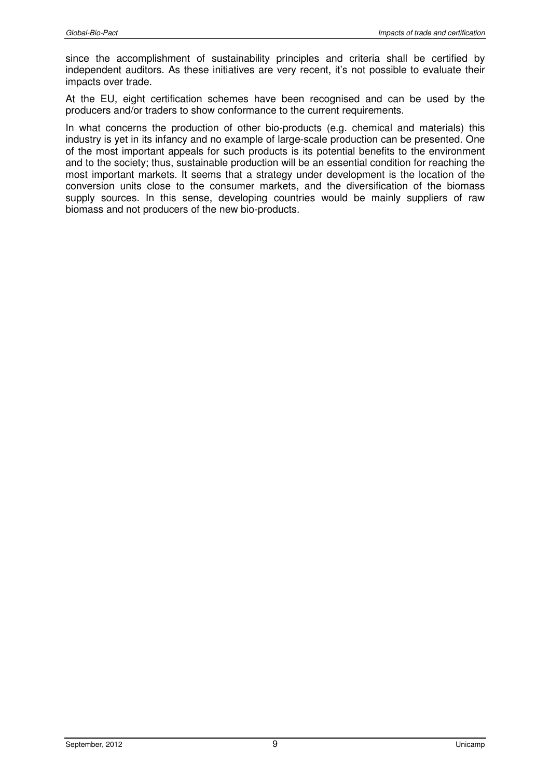since the accomplishment of sustainability principles and criteria shall be certified by independent auditors. As these initiatives are very recent, it's not possible to evaluate their impacts over trade.

At the EU, eight certification schemes have been recognised and can be used by the producers and/or traders to show conformance to the current requirements.

In what concerns the production of other bio-products (e.g. chemical and materials) this industry is yet in its infancy and no example of large-scale production can be presented. One of the most important appeals for such products is its potential benefits to the environment and to the society; thus, sustainable production will be an essential condition for reaching the most important markets. It seems that a strategy under development is the location of the conversion units close to the consumer markets, and the diversification of the biomass supply sources. In this sense, developing countries would be mainly suppliers of raw biomass and not producers of the new bio-products.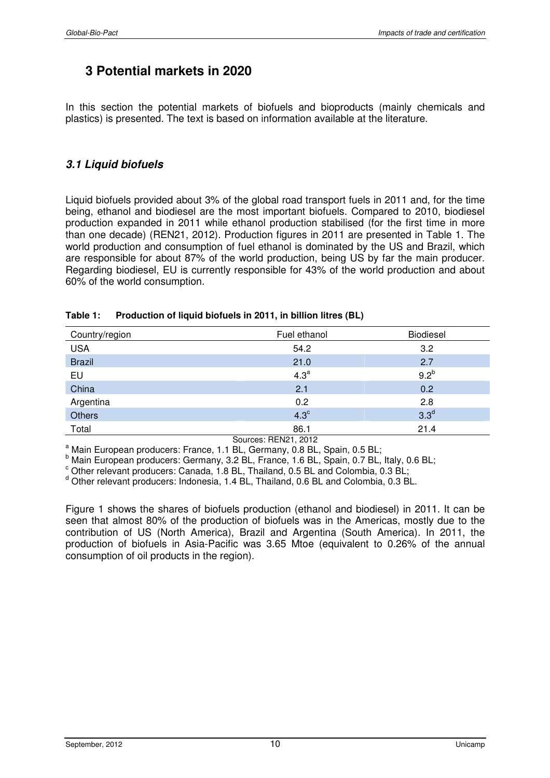# **3 Potential markets in 2020**

In this section the potential markets of biofuels and bioproducts (mainly chemicals and plastics) is presented. The text is based on information available at the literature.

# **3.1 Liquid biofuels**

Liquid biofuels provided about 3% of the global road transport fuels in 2011 and, for the time being, ethanol and biodiesel are the most important biofuels. Compared to 2010, biodiesel production expanded in 2011 while ethanol production stabilised (for the first time in more than one decade) (REN21, 2012). Production figures in 2011 are presented in Table 1. The world production and consumption of fuel ethanol is dominated by the US and Brazil, which are responsible for about 87% of the world production, being US by far the main producer. Regarding biodiesel, EU is currently responsible for 43% of the world production and about 60% of the world consumption.

| Country/region | Fuel ethanol     | Biodiesel        |
|----------------|------------------|------------------|
| <b>USA</b>     | 54.2             | 3.2              |
| <b>Brazil</b>  | 21.0             | 2.7              |
| EU             | 4.3 <sup>a</sup> | 9.2 <sup>b</sup> |
| China          | 2.1              | 0.2              |
| Argentina      | 0.2              | 2.8              |
| <b>Others</b>  | $4.3^\circ$      | 3.3 <sup>d</sup> |
| Total          | 86.1             | 21.4             |

#### **Table 1: Production of liquid biofuels in 2011, in billion litres (BL)**

Sources: REN21, 2012

<sup>a</sup> Main European producers: France, 1.1 BL, Germany, 0.8 BL, Spain, 0.5 BL;

<sup>b</sup> Main European producers: Germany, 3.2 BL, France, 1.6 BL, Spain, 0.7 BL, Italy, 0.6 BL;

 $\textdegree$  Other relevant producers: Canada, 1.8 BL, Thailand, 0.5 BL and Colombia, 0.3 BL;

<sup>d</sup> Other relevant producers: Indonesia, 1.4 BL, Thailand, 0.6 BL and Colombia, 0.3 BL.

Figure 1 shows the shares of biofuels production (ethanol and biodiesel) in 2011. It can be seen that almost 80% of the production of biofuels was in the Americas, mostly due to the contribution of US (North America), Brazil and Argentina (South America). In 2011, the production of biofuels in Asia-Pacific was 3.65 Mtoe (equivalent to 0.26% of the annual consumption of oil products in the region).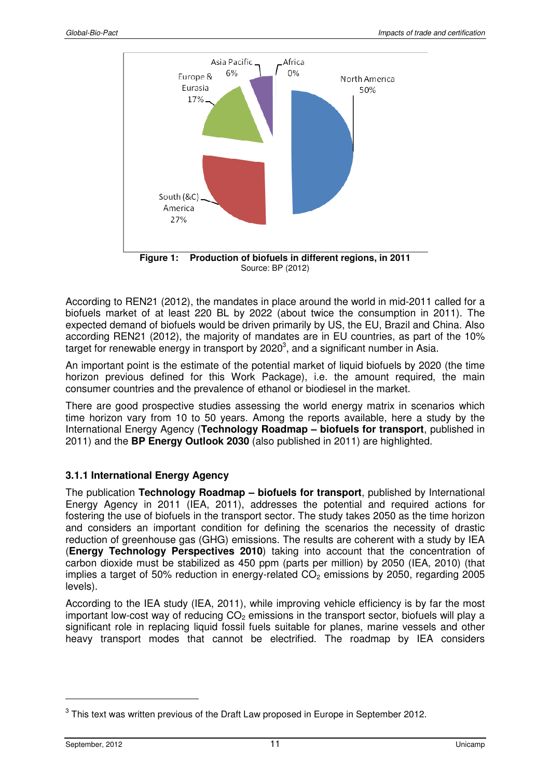

**Figure 1: Production of biofuels in different regions, in 2011**  Source: BP (2012)

According to REN21 (2012), the mandates in place around the world in mid-2011 called for a biofuels market of at least 220 BL by 2022 (about twice the consumption in 2011). The expected demand of biofuels would be driven primarily by US, the EU, Brazil and China. Also according REN21 (2012), the majority of mandates are in EU countries, as part of the 10% target for renewable energy in transport by 2020<sup>3</sup>, and a significant number in Asia.

An important point is the estimate of the potential market of liquid biofuels by 2020 (the time horizon previous defined for this Work Package), i.e. the amount required, the main consumer countries and the prevalence of ethanol or biodiesel in the market.

There are good prospective studies assessing the world energy matrix in scenarios which time horizon vary from 10 to 50 years. Among the reports available, here a study by the International Energy Agency (**Technology Roadmap – biofuels for transport**, published in 2011) and the **BP Energy Outlook 2030** (also published in 2011) are highlighted.

### **3.1.1 International Energy Agency**

The publication **Technology Roadmap – biofuels for transport**, published by International Energy Agency in 2011 (IEA, 2011), addresses the potential and required actions for fostering the use of biofuels in the transport sector. The study takes 2050 as the time horizon and considers an important condition for defining the scenarios the necessity of drastic reduction of greenhouse gas (GHG) emissions. The results are coherent with a study by IEA (**Energy Technology Perspectives 2010**) taking into account that the concentration of carbon dioxide must be stabilized as 450 ppm (parts per million) by 2050 (IEA, 2010) (that implies a target of 50% reduction in energy-related  $CO<sub>2</sub>$  emissions by 2050, regarding 2005 levels).

According to the IEA study (IEA, 2011), while improving vehicle efficiency is by far the most important low-cost way of reducing  $CO<sub>2</sub>$  emissions in the transport sector, biofuels will play a significant role in replacing liquid fossil fuels suitable for planes, marine vessels and other heavy transport modes that cannot be electrified. The roadmap by IEA considers

 $3$  This text was written previous of the Draft Law proposed in Europe in September 2012.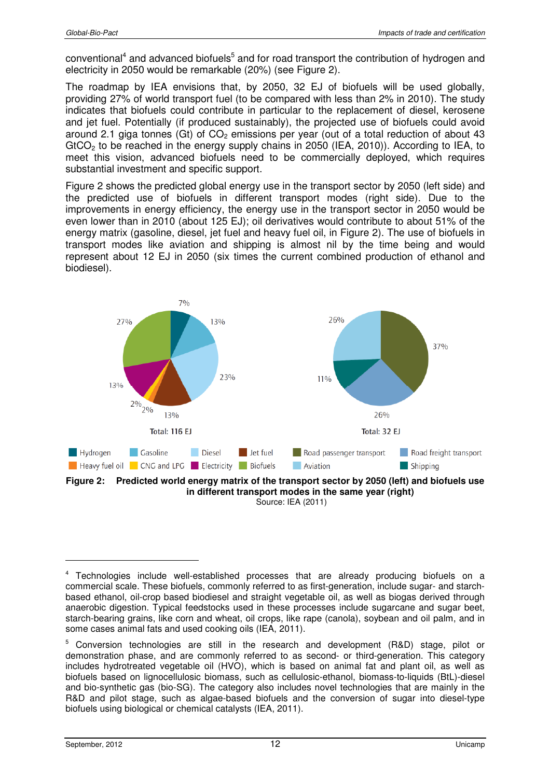conventional<sup>4</sup> and advanced biofuels<sup>5</sup> and for road transport the contribution of hydrogen and electricity in 2050 would be remarkable (20%) (see Figure 2).

The roadmap by IEA envisions that, by 2050, 32 EJ of biofuels will be used globally, providing 27% of world transport fuel (to be compared with less than 2% in 2010). The study indicates that biofuels could contribute in particular to the replacement of diesel, kerosene and jet fuel. Potentially (if produced sustainably), the projected use of biofuels could avoid around 2.1 giga tonnes (Gt) of  $CO<sub>2</sub>$  emissions per year (out of a total reduction of about 43 GtCO<sub>2</sub> to be reached in the energy supply chains in 2050 (IEA, 2010)). According to IEA, to meet this vision, advanced biofuels need to be commercially deployed, which requires substantial investment and specific support.

Figure 2 shows the predicted global energy use in the transport sector by 2050 (left side) and the predicted use of biofuels in different transport modes (right side). Due to the improvements in energy efficiency, the energy use in the transport sector in 2050 would be even lower than in 2010 (about 125 EJ); oil derivatives would contribute to about 51% of the energy matrix (gasoline, diesel, jet fuel and heavy fuel oil, in Figure 2). The use of biofuels in transport modes like aviation and shipping is almost nil by the time being and would represent about 12 EJ in 2050 (six times the current combined production of ethanol and biodiesel).



Source: IEA (2011)

<sup>&</sup>lt;sup>4</sup> Technologies include well-established processes that are already producing biofuels on a commercial scale. These biofuels, commonly referred to as first-generation, include sugar- and starchbased ethanol, oil-crop based biodiesel and straight vegetable oil, as well as biogas derived through anaerobic digestion. Typical feedstocks used in these processes include sugarcane and sugar beet, starch-bearing grains, like corn and wheat, oil crops, like rape (canola), soybean and oil palm, and in some cases animal fats and used cooking oils (IEA, 2011).

<sup>&</sup>lt;sup>5</sup> Conversion technologies are still in the research and development (R&D) stage, pilot or demonstration phase, and are commonly referred to as second- or third-generation. This category includes hydrotreated vegetable oil (HVO), which is based on animal fat and plant oil, as well as biofuels based on lignocellulosic biomass, such as cellulosic-ethanol, biomass-to-liquids (BtL)-diesel and bio-synthetic gas (bio-SG). The category also includes novel technologies that are mainly in the R&D and pilot stage, such as algae-based biofuels and the conversion of sugar into diesel-type biofuels using biological or chemical catalysts (IEA, 2011).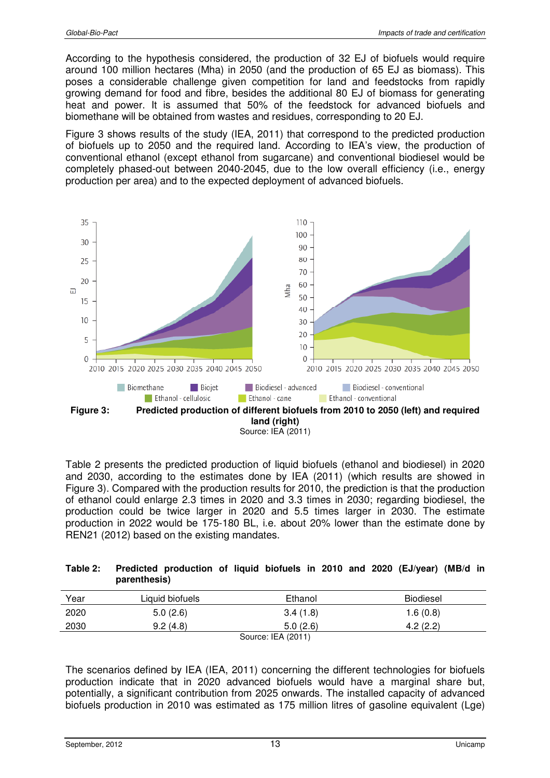According to the hypothesis considered, the production of 32 EJ of biofuels would require around 100 million hectares (Mha) in 2050 (and the production of 65 EJ as biomass). This poses a considerable challenge given competition for land and feedstocks from rapidly growing demand for food and fibre, besides the additional 80 EJ of biomass for generating heat and power. It is assumed that 50% of the feedstock for advanced biofuels and biomethane will be obtained from wastes and residues, corresponding to 20 EJ.

Figure 3 shows results of the study (IEA, 2011) that correspond to the predicted production of biofuels up to 2050 and the required land. According to IEA's view, the production of conventional ethanol (except ethanol from sugarcane) and conventional biodiesel would be completely phased-out between 2040-2045, due to the low overall efficiency (i.e., energy production per area) and to the expected deployment of advanced biofuels.



Source: IEA (2011)

Table 2 presents the predicted production of liquid biofuels (ethanol and biodiesel) in 2020 and 2030, according to the estimates done by IEA (2011) (which results are showed in Figure 3). Compared with the production results for 2010, the prediction is that the production of ethanol could enlarge 2.3 times in 2020 and 3.3 times in 2030; regarding biodiesel, the production could be twice larger in 2020 and 5.5 times larger in 2030. The estimate production in 2022 would be 175-180 BL, i.e. about 20% lower than the estimate done by REN21 (2012) based on the existing mandates.

#### **Table 2: Predicted production of liquid biofuels in 2010 and 2020 (EJ/year) (MB/d in parenthesis)**

| Year | Liquid biofuels | Ethanol                        | <b>Biodiesel</b> |
|------|-----------------|--------------------------------|------------------|
| 2020 | 5.0(2.6)        | 3.4(1.8)                       | 1.6(0.8)         |
| 2030 | 9.2(4.8)        | 5.0(2.6)                       | 4.2(2.2)         |
|      |                 | $C_{\text{AllYOO}}$ IEA (0011) |                  |

Source: IEA (2011)

The scenarios defined by IEA (IEA, 2011) concerning the different technologies for biofuels production indicate that in 2020 advanced biofuels would have a marginal share but, potentially, a significant contribution from 2025 onwards. The installed capacity of advanced biofuels production in 2010 was estimated as 175 million litres of gasoline equivalent (Lge)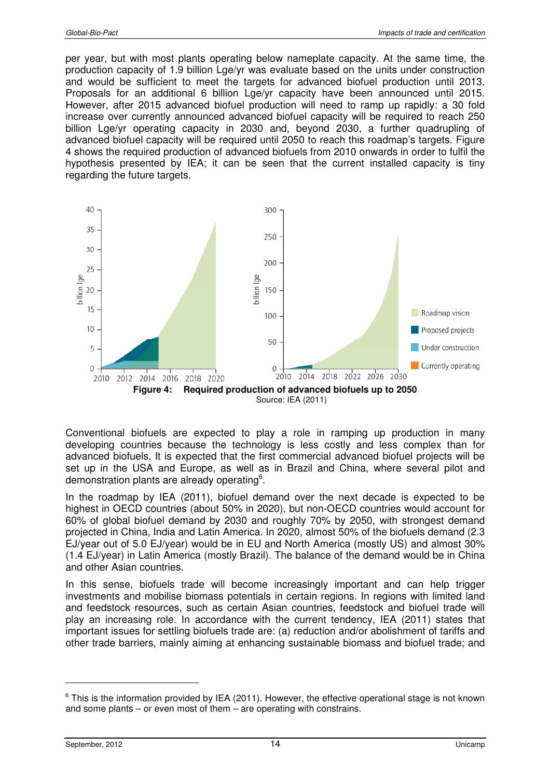per year, but with most plants operating below nameplate capacity. At the same time, the production capacity of 1.9 billion Lge/yr was evaluate based on the units under construction and would be sufficient to meet the targets for advanced biofuel production until 2013. Proposals for an additional 6 billion Lge/yr capacity have been announced until 2015. However, after 2015 advanced biofuel production will need to ramp up rapidly: a 30 fold increase over currently announced advanced biofuel capacity will be required to reach 250 billion Lge/yr operating capacity in 2030 and, beyond 2030, a further quadrupling of advanced biofuel capacity will be required until 2050 to reach this roadmap's targets. Figure 4 shows the required production of advanced biofuels from 2010 onwards in order to fulfil the hypothesis presented by IEA; it can be seen that the current installed capacity is tiny regarding the future targets.



Conventional biofuels are expected to play a role in ramping up production in many developing countries because the technology is less costly and less complex than for advanced biofuels. It is expected that the first commercial advanced biofuel projects will be set up in the USA and Europe, as well as in Brazil and China, where several pilot and demonstration plants are already operating<sup>6</sup>.

In the roadmap by IEA (2011), biofuel demand over the next decade is expected to be highest in OECD countries (about 50% in 2020), but non-OECD countries would account for 60% of global biofuel demand by 2030 and roughly 70% by 2050, with strongest demand projected in China, India and Latin America. In 2020, almost 50% of the biofuels demand (2.3 EJ/year out of 5.0 EJ/year) would be in EU and North America (mostly US) and almost 30% (1.4 EJ/year) in Latin America (mostly Brazil). The balance of the demand would be in China and other Asian countries.

In this sense, biofuels trade will become increasingly important and can help trigger investments and mobilise biomass potentials in certain regions. In regions with limited land and feedstock resources, such as certain Asian countries, feedstock and biofuel trade will play an increasing role. In accordance with the current tendency, IEA (2011) states that important issues for settling biofuels trade are: (a) reduction and/or abolishment of tariffs and other trade barriers, mainly aiming at enhancing sustainable biomass and biofuel trade; and

 $6$  This is the information provided by IEA (2011). However, the effective operational stage is not known and some plants – or even most of them – are operating with constrains.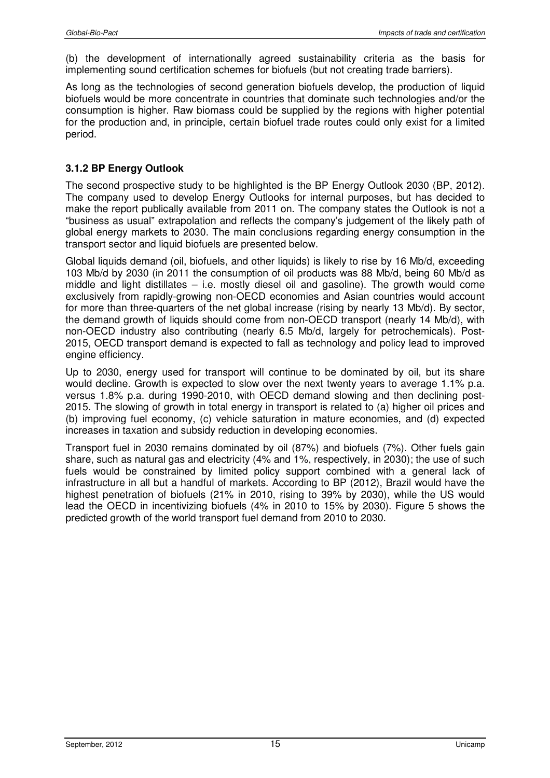(b) the development of internationally agreed sustainability criteria as the basis for implementing sound certification schemes for biofuels (but not creating trade barriers).

As long as the technologies of second generation biofuels develop, the production of liquid biofuels would be more concentrate in countries that dominate such technologies and/or the consumption is higher. Raw biomass could be supplied by the regions with higher potential for the production and, in principle, certain biofuel trade routes could only exist for a limited period.

### **3.1.2 BP Energy Outlook**

The second prospective study to be highlighted is the BP Energy Outlook 2030 (BP, 2012). The company used to develop Energy Outlooks for internal purposes, but has decided to make the report publically available from 2011 on. The company states the Outlook is not a "business as usual" extrapolation and reflects the company's judgement of the likely path of global energy markets to 2030. The main conclusions regarding energy consumption in the transport sector and liquid biofuels are presented below.

Global liquids demand (oil, biofuels, and other liquids) is likely to rise by 16 Mb/d, exceeding 103 Mb/d by 2030 (in 2011 the consumption of oil products was 88 Mb/d, being 60 Mb/d as middle and light distillates – i.e. mostly diesel oil and gasoline). The growth would come exclusively from rapidly-growing non-OECD economies and Asian countries would account for more than three-quarters of the net global increase (rising by nearly 13 Mb/d). By sector, the demand growth of liquids should come from non-OECD transport (nearly 14 Mb/d), with non-OECD industry also contributing (nearly 6.5 Mb/d, largely for petrochemicals). Post-2015, OECD transport demand is expected to fall as technology and policy lead to improved engine efficiency.

Up to 2030, energy used for transport will continue to be dominated by oil, but its share would decline. Growth is expected to slow over the next twenty years to average 1.1% p.a. versus 1.8% p.a. during 1990-2010, with OECD demand slowing and then declining post-2015. The slowing of growth in total energy in transport is related to (a) higher oil prices and (b) improving fuel economy, (c) vehicle saturation in mature economies, and (d) expected increases in taxation and subsidy reduction in developing economies.

Transport fuel in 2030 remains dominated by oil (87%) and biofuels (7%). Other fuels gain share, such as natural gas and electricity (4% and 1%, respectively, in 2030); the use of such fuels would be constrained by limited policy support combined with a general lack of infrastructure in all but a handful of markets. According to BP (2012), Brazil would have the highest penetration of biofuels (21% in 2010, rising to 39% by 2030), while the US would lead the OECD in incentivizing biofuels (4% in 2010 to 15% by 2030). Figure 5 shows the predicted growth of the world transport fuel demand from 2010 to 2030.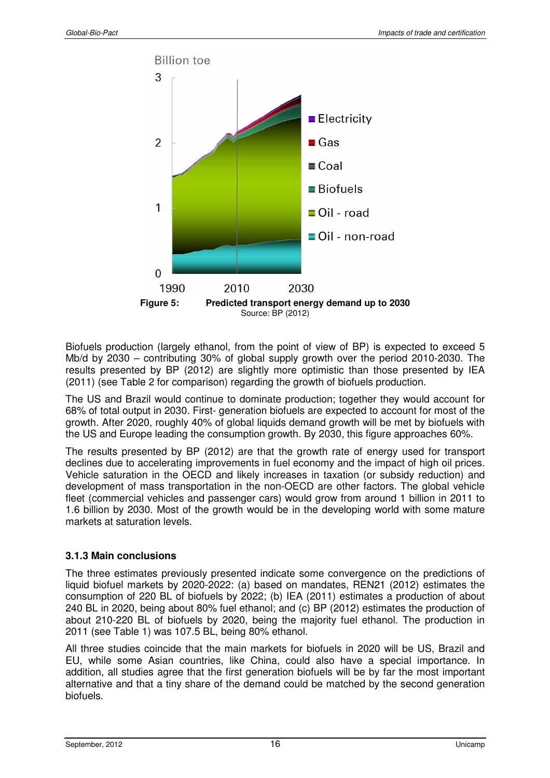

Biofuels production (largely ethanol, from the point of view of BP) is expected to exceed 5 Mb/d by 2030 – contributing 30% of global supply growth over the period 2010-2030. The results presented by BP (2012) are slightly more optimistic than those presented by IEA (2011) (see Table 2 for comparison) regarding the growth of biofuels production.

The US and Brazil would continue to dominate production; together they would account for 68% of total output in 2030. First- generation biofuels are expected to account for most of the growth. After 2020, roughly 40% of global liquids demand growth will be met by biofuels with the US and Europe leading the consumption growth. By 2030, this figure approaches 60%.

The results presented by BP (2012) are that the growth rate of energy used for transport declines due to accelerating improvements in fuel economy and the impact of high oil prices. Vehicle saturation in the OECD and likely increases in taxation (or subsidy reduction) and development of mass transportation in the non-OECD are other factors. The global vehicle fleet (commercial vehicles and passenger cars) would grow from around 1 billion in 2011 to 1.6 billion by 2030. Most of the growth would be in the developing world with some mature markets at saturation levels.

### **3.1.3 Main conclusions**

The three estimates previously presented indicate some convergence on the predictions of liquid biofuel markets by 2020-2022: (a) based on mandates, REN21 (2012) estimates the consumption of 220 BL of biofuels by 2022; (b) IEA (2011) estimates a production of about 240 BL in 2020, being about 80% fuel ethanol; and (c) BP (2012) estimates the production of about 210-220 BL of biofuels by 2020, being the majority fuel ethanol. The production in 2011 (see Table 1) was 107.5 BL, being 80% ethanol.

All three studies coincide that the main markets for biofuels in 2020 will be US, Brazil and EU, while some Asian countries, like China, could also have a special importance. In addition, all studies agree that the first generation biofuels will be by far the most important alternative and that a tiny share of the demand could be matched by the second generation biofuels.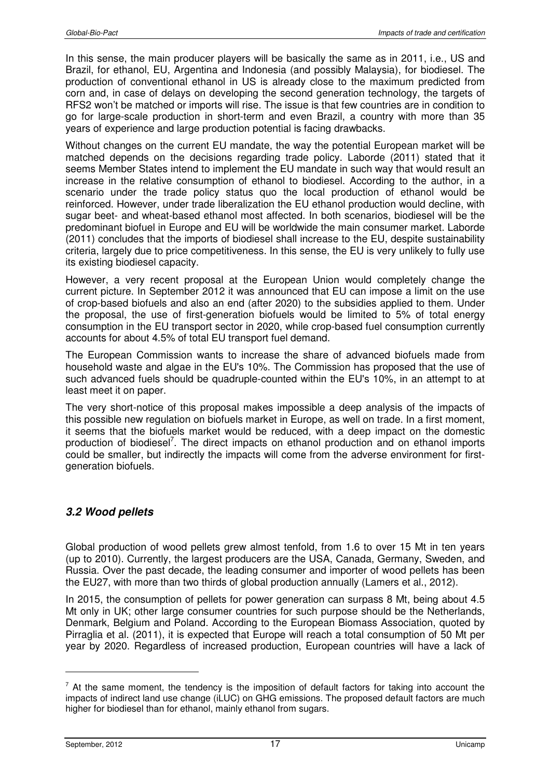In this sense, the main producer players will be basically the same as in 2011, i.e., US and Brazil, for ethanol, EU, Argentina and Indonesia (and possibly Malaysia), for biodiesel. The production of conventional ethanol in US is already close to the maximum predicted from corn and, in case of delays on developing the second generation technology, the targets of RFS2 won't be matched or imports will rise. The issue is that few countries are in condition to go for large-scale production in short-term and even Brazil, a country with more than 35 years of experience and large production potential is facing drawbacks.

Without changes on the current EU mandate, the way the potential European market will be matched depends on the decisions regarding trade policy. Laborde (2011) stated that it seems Member States intend to implement the EU mandate in such way that would result an increase in the relative consumption of ethanol to biodiesel. According to the author, in a scenario under the trade policy status quo the local production of ethanol would be reinforced. However, under trade liberalization the EU ethanol production would decline, with sugar beet- and wheat-based ethanol most affected. In both scenarios, biodiesel will be the predominant biofuel in Europe and EU will be worldwide the main consumer market. Laborde (2011) concludes that the imports of biodiesel shall increase to the EU, despite sustainability criteria, largely due to price competitiveness. In this sense, the EU is very unlikely to fully use its existing biodiesel capacity.

However, a very recent proposal at the European Union would completely change the current picture. In September 2012 it was announced that EU can impose a limit on the use of crop-based biofuels and also an end (after 2020) to the subsidies applied to them. Under the proposal, the use of first-generation biofuels would be limited to 5% of total energy consumption in the EU transport sector in 2020, while crop-based fuel consumption currently accounts for about 4.5% of total EU transport fuel demand.

The European Commission wants to increase the share of advanced biofuels made from household waste and algae in the EU's 10%. The Commission has proposed that the use of such advanced fuels should be quadruple-counted within the EU's 10%, in an attempt to at least meet it on paper.

The very short-notice of this proposal makes impossible a deep analysis of the impacts of this possible new regulation on biofuels market in Europe, as well on trade. In a first moment, it seems that the biofuels market would be reduced, with a deep impact on the domestic production of biodiesel<sup>7</sup>. The direct impacts on ethanol production and on ethanol imports could be smaller, but indirectly the impacts will come from the adverse environment for firstgeneration biofuels.

## **3.2 Wood pellets**

Global production of wood pellets grew almost tenfold, from 1.6 to over 15 Mt in ten years (up to 2010). Currently, the largest producers are the USA, Canada, Germany, Sweden, and Russia. Over the past decade, the leading consumer and importer of wood pellets has been the EU27, with more than two thirds of global production annually (Lamers et al., 2012).

In 2015, the consumption of pellets for power generation can surpass 8 Mt, being about 4.5 Mt only in UK; other large consumer countries for such purpose should be the Netherlands, Denmark, Belgium and Poland. According to the European Biomass Association, quoted by Pirraglia et al. (2011), it is expected that Europe will reach a total consumption of 50 Mt per year by 2020. Regardless of increased production, European countries will have a lack of

 $7$  At the same moment, the tendency is the imposition of default factors for taking into account the impacts of indirect land use change (iLUC) on GHG emissions. The proposed default factors are much higher for biodiesel than for ethanol, mainly ethanol from sugars.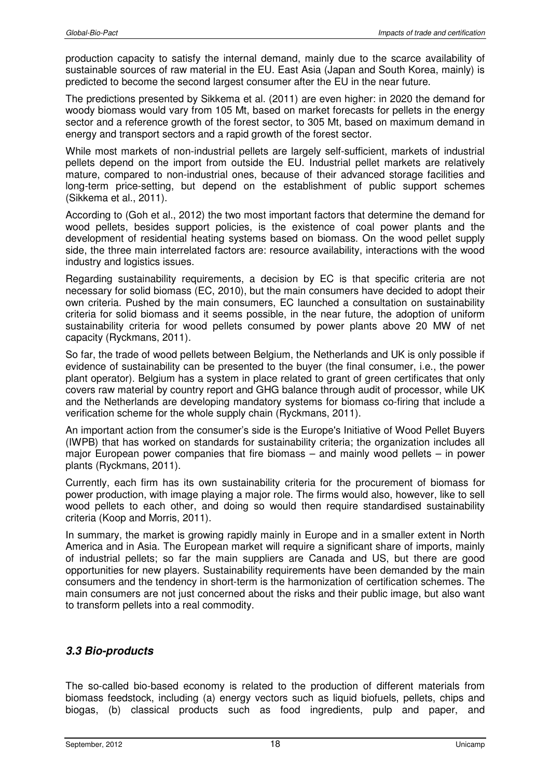production capacity to satisfy the internal demand, mainly due to the scarce availability of sustainable sources of raw material in the EU. East Asia (Japan and South Korea, mainly) is predicted to become the second largest consumer after the EU in the near future.

The predictions presented by Sikkema et al. (2011) are even higher: in 2020 the demand for woody biomass would vary from 105 Mt, based on market forecasts for pellets in the energy sector and a reference growth of the forest sector, to 305 Mt, based on maximum demand in energy and transport sectors and a rapid growth of the forest sector.

While most markets of non-industrial pellets are largely self-sufficient, markets of industrial pellets depend on the import from outside the EU. Industrial pellet markets are relatively mature, compared to non-industrial ones, because of their advanced storage facilities and long-term price-setting, but depend on the establishment of public support schemes (Sikkema et al., 2011).

According to (Goh et al., 2012) the two most important factors that determine the demand for wood pellets, besides support policies, is the existence of coal power plants and the development of residential heating systems based on biomass. On the wood pellet supply side, the three main interrelated factors are: resource availability, interactions with the wood industry and logistics issues.

Regarding sustainability requirements, a decision by EC is that specific criteria are not necessary for solid biomass (EC, 2010), but the main consumers have decided to adopt their own criteria. Pushed by the main consumers, EC launched a consultation on sustainability criteria for solid biomass and it seems possible, in the near future, the adoption of uniform sustainability criteria for wood pellets consumed by power plants above 20 MW of net capacity (Ryckmans, 2011).

So far, the trade of wood pellets between Belgium, the Netherlands and UK is only possible if evidence of sustainability can be presented to the buyer (the final consumer, i.e., the power plant operator). Belgium has a system in place related to grant of green certificates that only covers raw material by country report and GHG balance through audit of processor, while UK and the Netherlands are developing mandatory systems for biomass co-firing that include a verification scheme for the whole supply chain (Ryckmans, 2011).

An important action from the consumer's side is the Europe's Initiative of Wood Pellet Buyers (IWPB) that has worked on standards for sustainability criteria; the organization includes all major European power companies that fire biomass – and mainly wood pellets – in power plants (Ryckmans, 2011).

Currently, each firm has its own sustainability criteria for the procurement of biomass for power production, with image playing a major role. The firms would also, however, like to sell wood pellets to each other, and doing so would then require standardised sustainability criteria (Koop and Morris, 2011).

In summary, the market is growing rapidly mainly in Europe and in a smaller extent in North America and in Asia. The European market will require a significant share of imports, mainly of industrial pellets; so far the main suppliers are Canada and US, but there are good opportunities for new players. Sustainability requirements have been demanded by the main consumers and the tendency in short-term is the harmonization of certification schemes. The main consumers are not just concerned about the risks and their public image, but also want to transform pellets into a real commodity.

# **3.3 Bio-products**

The so-called bio-based economy is related to the production of different materials from biomass feedstock, including (a) energy vectors such as liquid biofuels, pellets, chips and biogas, (b) classical products such as food ingredients, pulp and paper, and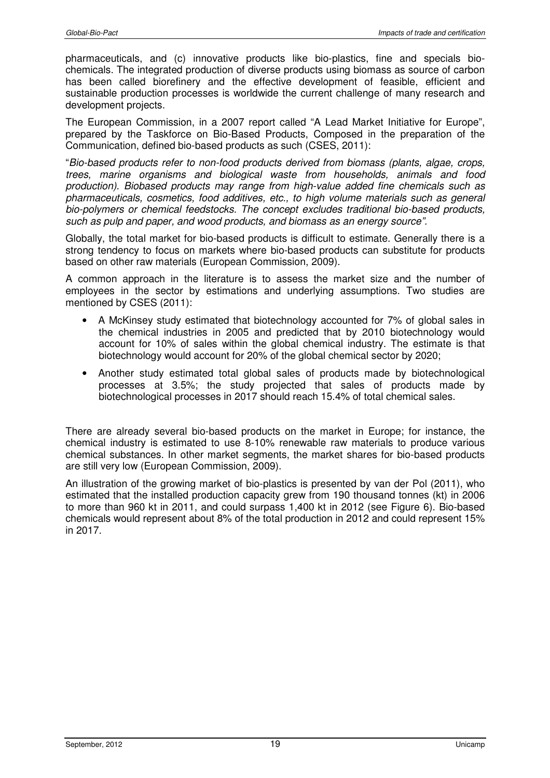pharmaceuticals, and (c) innovative products like bio-plastics, fine and specials biochemicals. The integrated production of diverse products using biomass as source of carbon has been called biorefinery and the effective development of feasible, efficient and sustainable production processes is worldwide the current challenge of many research and development projects.

The European Commission, in a 2007 report called "A Lead Market Initiative for Europe", prepared by the Taskforce on Bio-Based Products, Composed in the preparation of the Communication, defined bio-based products as such (CSES, 2011):

"Bio-based products refer to non-food products derived from biomass (plants, algae, crops, trees, marine organisms and biological waste from households, animals and food production). Biobased products may range from high-value added fine chemicals such as pharmaceuticals, cosmetics, food additives, etc., to high volume materials such as general bio-polymers or chemical feedstocks. The concept excludes traditional bio-based products, such as pulp and paper, and wood products, and biomass as an energy source".

Globally, the total market for bio-based products is difficult to estimate. Generally there is a strong tendency to focus on markets where bio-based products can substitute for products based on other raw materials (European Commission, 2009).

A common approach in the literature is to assess the market size and the number of employees in the sector by estimations and underlying assumptions. Two studies are mentioned by CSES (2011):

- A McKinsey study estimated that biotechnology accounted for 7% of global sales in the chemical industries in 2005 and predicted that by 2010 biotechnology would account for 10% of sales within the global chemical industry. The estimate is that biotechnology would account for 20% of the global chemical sector by 2020;
- Another study estimated total global sales of products made by biotechnological processes at 3.5%; the study projected that sales of products made by biotechnological processes in 2017 should reach 15.4% of total chemical sales.

There are already several bio-based products on the market in Europe; for instance, the chemical industry is estimated to use 8-10% renewable raw materials to produce various chemical substances. In other market segments, the market shares for bio-based products are still very low (European Commission, 2009).

An illustration of the growing market of bio-plastics is presented by van der Pol (2011), who estimated that the installed production capacity grew from 190 thousand tonnes (kt) in 2006 to more than 960 kt in 2011, and could surpass 1,400 kt in 2012 (see Figure 6). Bio-based chemicals would represent about 8% of the total production in 2012 and could represent 15% in 2017.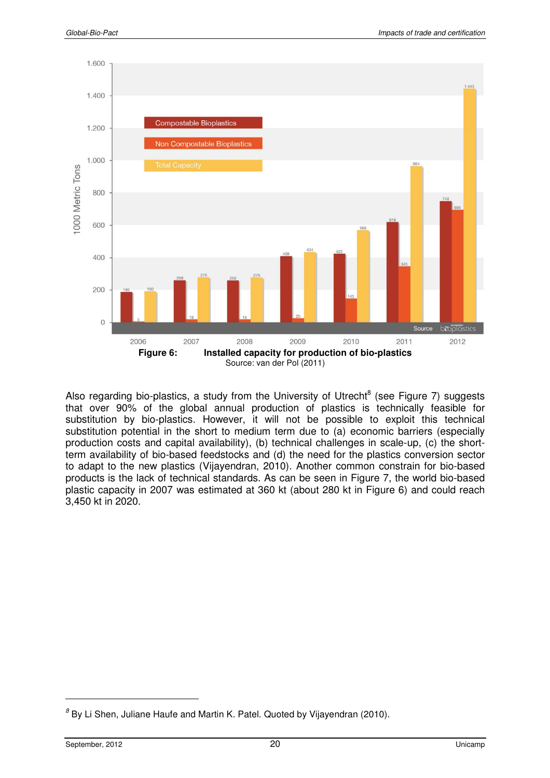

Also regarding bio-plastics, a study from the University of Utrecht<sup>8</sup> (see Figure 7) suggests that over 90% of the global annual production of plastics is technically feasible for substitution by bio-plastics. However, it will not be possible to exploit this technical substitution potential in the short to medium term due to (a) economic barriers (especially production costs and capital availability), (b) technical challenges in scale-up, (c) the shortterm availability of bio-based feedstocks and (d) the need for the plastics conversion sector to adapt to the new plastics (Vijayendran, 2010). Another common constrain for bio-based products is the lack of technical standards. As can be seen in Figure 7, the world bio-based plastic capacity in 2007 was estimated at 360 kt (about 280 kt in Figure 6) and could reach 3,450 kt in 2020.

 ${}^{8}$  By Li Shen, Juliane Haufe and Martin K. Patel. Quoted by Vijayendran (2010).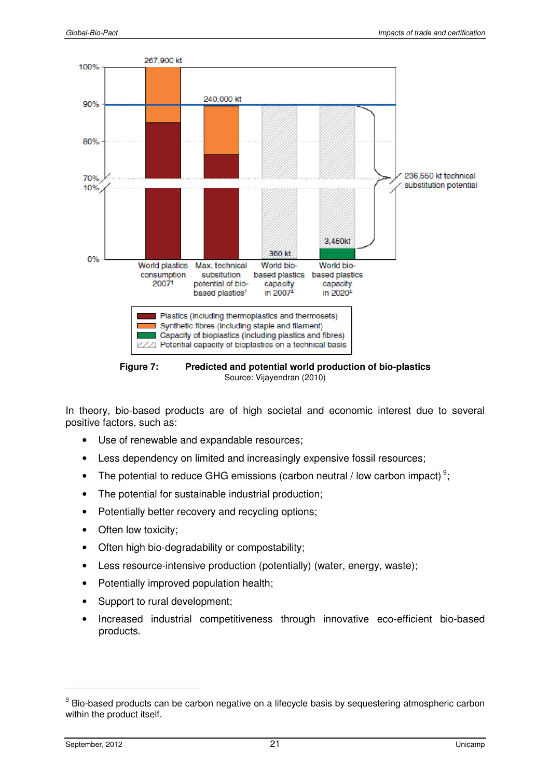

**Figure 7: Predicted and potential world production of bio-plastics**  Source: Vijayendran (2010)

In theory, bio-based products are of high societal and economic interest due to several positive factors, such as:

- Use of renewable and expandable resources;
- Less dependency on limited and increasingly expensive fossil resources;
- The potential to reduce GHG emissions (carbon neutral / low carbon impact)<sup>9</sup>;
- The potential for sustainable industrial production;
- Potentially better recovery and recycling options;
- Often low toxicity;
- Often high bio-degradability or compostability;
- Less resource-intensive production (potentially) (water, energy, waste);
- Potentially improved population health:
- Support to rural development;
- Increased industrial competitiveness through innovative eco-efficient bio-based products.

<sup>&</sup>lt;sup>9</sup> Bio-based products can be carbon negative on a lifecycle basis by sequestering atmospheric carbon within the product itself.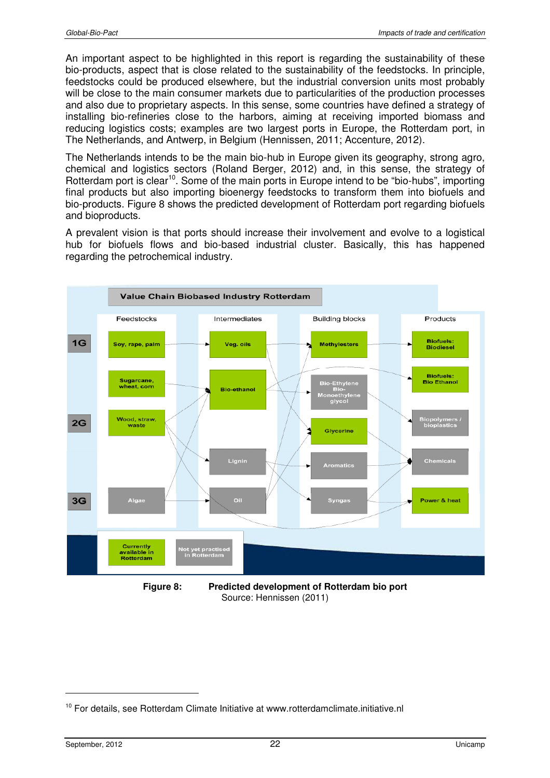An important aspect to be highlighted in this report is regarding the sustainability of these bio-products, aspect that is close related to the sustainability of the feedstocks. In principle, feedstocks could be produced elsewhere, but the industrial conversion units most probably will be close to the main consumer markets due to particularities of the production processes and also due to proprietary aspects. In this sense, some countries have defined a strategy of installing bio-refineries close to the harbors, aiming at receiving imported biomass and reducing logistics costs; examples are two largest ports in Europe, the Rotterdam port, in The Netherlands, and Antwerp, in Belgium (Hennissen, 2011; Accenture, 2012).

The Netherlands intends to be the main bio-hub in Europe given its geography, strong agro, chemical and logistics sectors (Roland Berger, 2012) and, in this sense, the strategy of Rotterdam port is clear<sup>10</sup>. Some of the main ports in Europe intend to be "bio-hubs", importing final products but also importing bioenergy feedstocks to transform them into biofuels and bio-products. Figure 8 shows the predicted development of Rotterdam port regarding biofuels and bioproducts.

A prevalent vision is that ports should increase their involvement and evolve to a logistical hub for biofuels flows and bio-based industrial cluster. Basically, this has happened regarding the petrochemical industry.



**Figure 8: Predicted development of Rotterdam bio port**  Source: Hennissen (2011)

<sup>&</sup>lt;sup>10</sup> For details, see Rotterdam Climate Initiative at www.rotterdamclimate.initiative.nl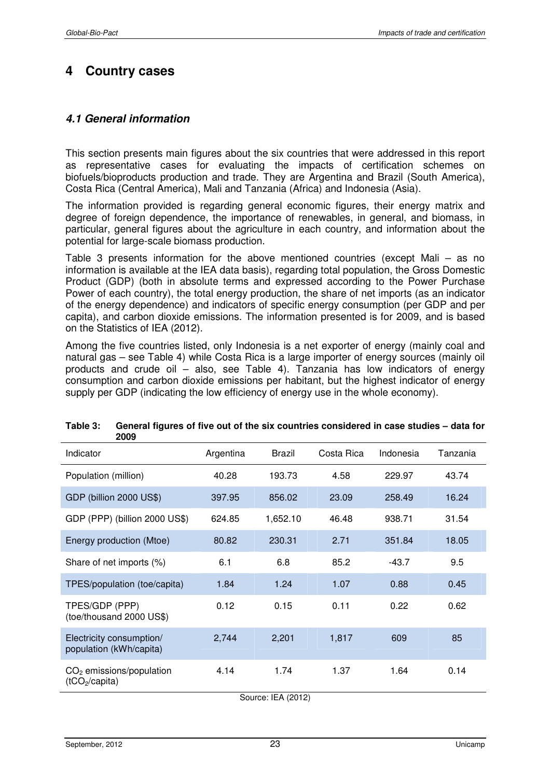# **4 Country cases**

## **4.1 General information**

This section presents main figures about the six countries that were addressed in this report as representative cases for evaluating the impacts of certification schemes on biofuels/bioproducts production and trade. They are Argentina and Brazil (South America), Costa Rica (Central America), Mali and Tanzania (Africa) and Indonesia (Asia).

The information provided is regarding general economic figures, their energy matrix and degree of foreign dependence, the importance of renewables, in general, and biomass, in particular, general figures about the agriculture in each country, and information about the potential for large-scale biomass production.

Table 3 presents information for the above mentioned countries (except Mali – as no information is available at the IEA data basis), regarding total population, the Gross Domestic Product (GDP) (both in absolute terms and expressed according to the Power Purchase Power of each country), the total energy production, the share of net imports (as an indicator of the energy dependence) and indicators of specific energy consumption (per GDP and per capita), and carbon dioxide emissions. The information presented is for 2009, and is based on the Statistics of IEA (2012).

Among the five countries listed, only Indonesia is a net exporter of energy (mainly coal and natural gas – see Table 4) while Costa Rica is a large importer of energy sources (mainly oil products and crude oil – also, see Table 4). Tanzania has low indicators of energy consumption and carbon dioxide emissions per habitant, but the highest indicator of energy supply per GDP (indicating the low efficiency of energy use in the whole economy).

| Indicator                                                | Argentina | <b>Brazil</b> | Costa Rica | Indonesia | Tanzania |
|----------------------------------------------------------|-----------|---------------|------------|-----------|----------|
| Population (million)                                     | 40.28     | 193.73        | 4.58       | 229.97    | 43.74    |
| GDP (billion 2000 US\$)                                  | 397.95    | 856.02        | 23.09      | 258.49    | 16.24    |
| GDP (PPP) (billion 2000 US\$)                            | 624.85    | 1,652.10      | 46.48      | 938.71    | 31.54    |
| Energy production (Mtoe)                                 | 80.82     | 230.31        | 2.71       | 351.84    | 18.05    |
| Share of net imports (%)                                 | 6.1       | 6.8           | 85.2       | $-43.7$   | 9.5      |
| TPES/population (toe/capita)                             | 1.84      | 1.24          | 1.07       | 0.88      | 0.45     |
| TPES/GDP (PPP)<br>(toe/thousand 2000 US\$)               | 0.12      | 0.15          | 0.11       | 0.22      | 0.62     |
| Electricity consumption/<br>population (kWh/capita)      | 2,744     | 2,201         | 1,817      | 609       | 85       |
| $CO2$ emissions/population<br>(tCO <sub>2</sub> /capita) | 4.14      | 1.74          | 1.37       | 1.64      | 0.14     |

#### **Table 3: General figures of five out of the six countries considered in case studies – data for 2009**

Source: IEA (2012)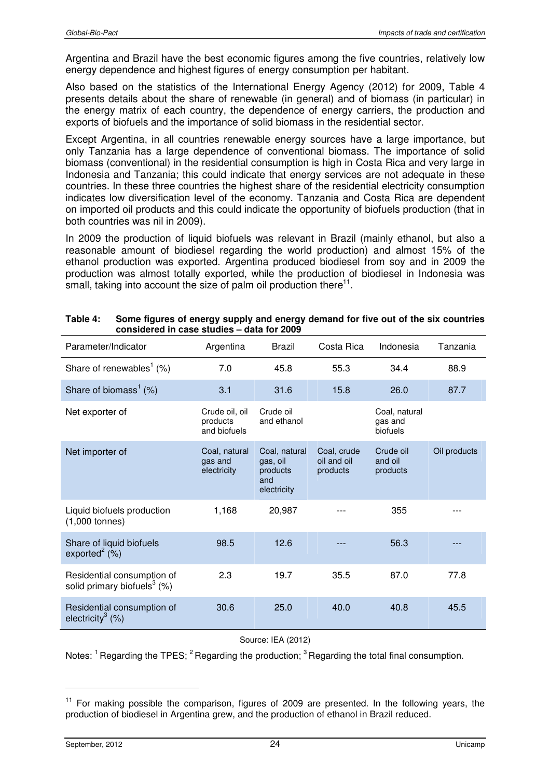Argentina and Brazil have the best economic figures among the five countries, relatively low energy dependence and highest figures of energy consumption per habitant.

Also based on the statistics of the International Energy Agency (2012) for 2009, Table 4 presents details about the share of renewable (in general) and of biomass (in particular) in the energy matrix of each country, the dependence of energy carriers, the production and exports of biofuels and the importance of solid biomass in the residential sector.

Except Argentina, in all countries renewable energy sources have a large importance, but only Tanzania has a large dependence of conventional biomass. The importance of solid biomass (conventional) in the residential consumption is high in Costa Rica and very large in Indonesia and Tanzania; this could indicate that energy services are not adequate in these countries. In these three countries the highest share of the residential electricity consumption indicates low diversification level of the economy. Tanzania and Costa Rica are dependent on imported oil products and this could indicate the opportunity of biofuels production (that in both countries was nil in 2009).

In 2009 the production of liquid biofuels was relevant in Brazil (mainly ethanol, but also a reasonable amount of biodiesel regarding the world production) and almost 15% of the ethanol production was exported. Argentina produced biodiesel from soy and in 2009 the production was almost totally exported, while the production of biodiesel in Indonesia was small, taking into account the size of palm oil production there $11$ .

| Parameter/Indicator                                                      | Argentina                                  | <b>Brazil</b>                                               | Costa Rica                             | Indonesia                            | Tanzania     |
|--------------------------------------------------------------------------|--------------------------------------------|-------------------------------------------------------------|----------------------------------------|--------------------------------------|--------------|
| Share of renewables <sup>1</sup> $(\%)$                                  | 7.0                                        | 45.8                                                        | 55.3                                   | 34.4                                 | 88.9         |
| Share of biomass <sup>1</sup> $(\%)$                                     | 3.1                                        | 31.6                                                        | 15.8                                   | 26.0                                 | 87.7         |
| Net exporter of                                                          | Crude oil, oil<br>products<br>and biofuels | Crude oil<br>and ethanol                                    |                                        | Coal, natural<br>gas and<br>biofuels |              |
| Net importer of                                                          | Coal, natural<br>gas and<br>electricity    | Coal, natural<br>gas, oil<br>products<br>and<br>electricity | Coal, crude<br>oil and oil<br>products | Crude oil<br>and oil<br>products     | Oil products |
| Liquid biofuels production<br>$(1,000$ tonnes)                           | 1,168                                      | 20,987                                                      |                                        | 355                                  |              |
| Share of liquid biofuels<br>exported $^{2}$ (%)                          | 98.5                                       | 12.6                                                        |                                        | 56.3                                 |              |
| Residential consumption of<br>solid primary biofuels <sup>3</sup> $(\%)$ | 2.3                                        | 19.7                                                        | 35.5                                   | 87.0                                 | 77.8         |
| Residential consumption of<br>electricity <sup>3</sup> $(%)$             | 30.6                                       | 25.0                                                        | 40.0                                   | 40.8                                 | 45.5         |

| Table 4: | Some figures of energy supply and energy demand for five out of the six countries |
|----------|-----------------------------------------------------------------------------------|
|          | considered in case studies – data for 2009                                        |

#### Source: IEA (2012)

Notes:  $1^{\circ}$  Regarding the TPES;  $2^{\circ}$  Regarding the production;  $3^{\circ}$  Regarding the total final consumption.

 $11$  For making possible the comparison, figures of 2009 are presented. In the following years, the production of biodiesel in Argentina grew, and the production of ethanol in Brazil reduced.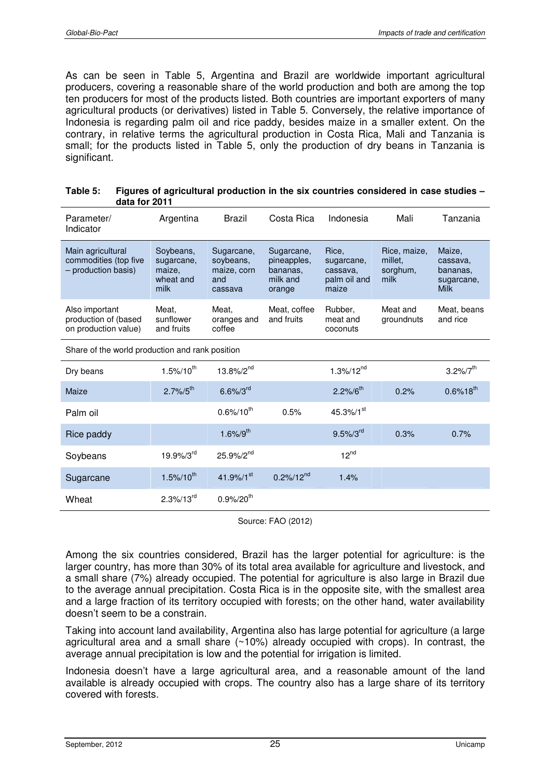As can be seen in Table 5, Argentina and Brazil are worldwide important agricultural producers, covering a reasonable share of the world production and both are among the top ten producers for most of the products listed. Both countries are important exporters of many agricultural products (or derivatives) listed in Table 5. Conversely, the relative importance of Indonesia is regarding palm oil and rice paddy, besides maize in a smaller extent. On the contrary, in relative terms the agricultural production in Costa Rica, Mali and Tanzania is small; for the products listed in Table 5, only the production of dry beans in Tanzania is significant.

| Table 5: | Figures of agricultural production in the six countries considered in case studies - |
|----------|--------------------------------------------------------------------------------------|
|          | data for 2011                                                                        |

| Parameter/<br>Indicator                                           | Argentina                                              | Brazil                                                   | Costa Rica                                                  | Indonesia                                                | Mali                                        | Tanzania                                                    |
|-------------------------------------------------------------------|--------------------------------------------------------|----------------------------------------------------------|-------------------------------------------------------------|----------------------------------------------------------|---------------------------------------------|-------------------------------------------------------------|
| Main agricultural<br>commodities (top five<br>- production basis) | Soybeans,<br>sugarcane,<br>maize,<br>wheat and<br>milk | Sugarcane,<br>soybeans,<br>maize, corn<br>and<br>cassava | Sugarcane,<br>pineapples,<br>bananas,<br>milk and<br>orange | Rice.<br>sugarcane,<br>cassava,<br>palm oil and<br>maize | Rice, maize,<br>millet.<br>sorghum,<br>milk | Maize,<br>cassava,<br>bananas,<br>sugarcane,<br><b>Milk</b> |
| Also important<br>production of (based<br>on production value)    | Meat.<br>sunflower<br>and fruits                       | Meat.<br>oranges and<br>coffee                           | Meat, coffee<br>and fruits                                  | Rubber,<br>meat and<br>coconuts                          |                                             | Meat, beans<br>and rice                                     |
| Share of the world production and rank position                   |                                                        |                                                          |                                                             |                                                          |                                             |                                                             |
| Dry beans                                                         | $1.5\%/10^{th}$                                        | $13.8\%/2^{nd}$                                          |                                                             | $1.3\%/12^{nd}$                                          |                                             | $3.2\%/7^{\text{th}}$                                       |
| Maize                                                             | $2.7\% / 5^{\text{th}}$                                | $6.6\%/3^{rd}$                                           |                                                             | $2.2\%/6^{th}$                                           | 0.2%                                        | $0.6\%$ 18 <sup>th</sup>                                    |
| Palm oil                                                          |                                                        | $0.6\%/10^{th}$                                          | 0.5%                                                        | 45.3%/1 <sup>st</sup>                                    |                                             |                                                             |
| Rice paddy                                                        |                                                        | $1.6\%/9^{th}$                                           |                                                             | $9.5\%/3^{\text{rd}}$                                    | 0.3%                                        | 0.7%                                                        |
| Soybeans                                                          | 19.9%/3rd                                              | 25.9%/2 <sup>nd</sup>                                    |                                                             | $12^{nd}$                                                |                                             |                                                             |
| Sugarcane                                                         | $1.5\%/10^{th}$                                        | 41.9%/1 $^{st}$                                          | $0.2\%/12^{nd}$                                             | 1.4%                                                     |                                             |                                                             |
| Wheat                                                             | $2.3\%/13^{rd}$                                        | $0.9\%/20^{th}$                                          |                                                             |                                                          |                                             |                                                             |

Source: FAO (2012)

Among the six countries considered, Brazil has the larger potential for agriculture: is the larger country, has more than 30% of its total area available for agriculture and livestock, and a small share (7%) already occupied. The potential for agriculture is also large in Brazil due to the average annual precipitation. Costa Rica is in the opposite site, with the smallest area and a large fraction of its territory occupied with forests; on the other hand, water availability doesn't seem to be a constrain.

Taking into account land availability, Argentina also has large potential for agriculture (a large agricultural area and a small share (~10%) already occupied with crops). In contrast, the average annual precipitation is low and the potential for irrigation is limited.

Indonesia doesn't have a large agricultural area, and a reasonable amount of the land available is already occupied with crops. The country also has a large share of its territory covered with forests.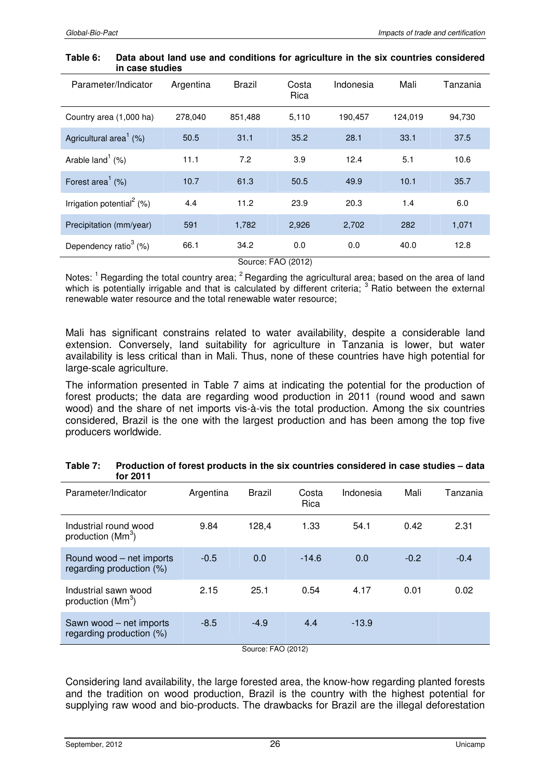#### **Table 6: Data about land use and conditions for agriculture in the six countries considered in case studies**

| Parameter/Indicator                   | Argentina | <b>Brazil</b> | Costa<br>Rica | Indonesia | Mali    | Tanzania |  |
|---------------------------------------|-----------|---------------|---------------|-----------|---------|----------|--|
| Country area (1,000 ha)               | 278,040   | 851,488       | 5,110         | 190,457   | 124,019 | 94,730   |  |
| Agricultural area <sup>1</sup> $(%)$  | 50.5      | 31.1          | 35.2          | 28.1      | 33.1    | 37.5     |  |
| Arable $land1$ (%)                    | 11.1      | 7.2           | 3.9           | 12.4      | 5.1     | 10.6     |  |
| Forest area <sup>1</sup> $(\%)$       | 10.7      | 61.3          | 50.5          | 49.9      | 10.1    | 35.7     |  |
| Irrigation potential <sup>2</sup> (%) | 4.4       | 11.2          | 23.9          | 20.3      | 1.4     | 6.0      |  |
| Precipitation (mm/year)               | 591       | 1,782         | 2,926         | 2,702     | 282     | 1,071    |  |
| Dependency ratio <sup>3</sup> $(\%)$  | 66.1      | 34.2          | 0.0           | 0.0       | 40.0    | 12.8     |  |
| Source: FAO (2012)                    |           |               |               |           |         |          |  |

Notes: <sup>1</sup> Regarding the total country area; <sup>2</sup> Regarding the agricultural area; based on the area of land which is potentially irrigable and that is calculated by different criteria; <sup>3</sup> Ratio between the external renewable water resource and the total renewable water resource;

Mali has significant constrains related to water availability, despite a considerable land extension. Conversely, land suitability for agriculture in Tanzania is lower, but water availability is less critical than in Mali. Thus, none of these countries have high potential for large-scale agriculture.

The information presented in Table 7 aims at indicating the potential for the production of forest products; the data are regarding wood production in 2011 (round wood and sawn wood) and the share of net imports vis-à-vis the total production. Among the six countries considered, Brazil is the one with the largest production and has been among the top five producers worldwide.

| ו ו שם וטו                                             |           |               |               |           |        |          |
|--------------------------------------------------------|-----------|---------------|---------------|-----------|--------|----------|
| Parameter/Indicator                                    | Argentina | <b>Brazil</b> | Costa<br>Rica | Indonesia | Mali   | Tanzania |
| Industrial round wood<br>production $(Mm3)$            | 9.84      | 128,4         | 1.33          | 54.1      | 0.42   | 2.31     |
| Round wood – net imports<br>regarding production (%)   | $-0.5$    | 0.0           | $-14.6$       | 0.0       | $-0.2$ | $-0.4$   |
| Industrial sawn wood<br>production $(Mm^3)$            | 2.15      | 25.1          | 0.54          | 4.17      | 0.01   | 0.02     |
| Sawn wood – net imports<br>regarding production $(\%)$ | $-8.5$    | $-4.9$        | 4.4           | $-13.9$   |        |          |

| Table 7: | Production of forest products in the six countries considered in case studies - data |
|----------|--------------------------------------------------------------------------------------|
|          | for 2011                                                                             |

Source: FAO (2012)

Considering land availability, the large forested area, the know-how regarding planted forests and the tradition on wood production, Brazil is the country with the highest potential for supplying raw wood and bio-products. The drawbacks for Brazil are the illegal deforestation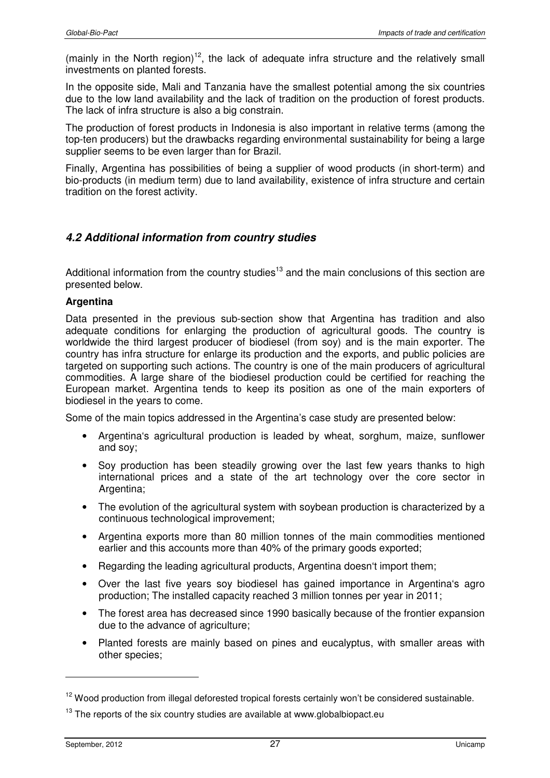(mainly in the North region)<sup>12</sup>, the lack of adequate infra structure and the relatively small investments on planted forests.

In the opposite side, Mali and Tanzania have the smallest potential among the six countries due to the low land availability and the lack of tradition on the production of forest products. The lack of infra structure is also a big constrain.

The production of forest products in Indonesia is also important in relative terms (among the top-ten producers) but the drawbacks regarding environmental sustainability for being a large supplier seems to be even larger than for Brazil.

Finally, Argentina has possibilities of being a supplier of wood products (in short-term) and bio-products (in medium term) due to land availability, existence of infra structure and certain tradition on the forest activity.

# **4.2 Additional information from country studies**

Additional information from the country studies<sup>13</sup> and the main conclusions of this section are presented below.

### **Argentina**

Data presented in the previous sub-section show that Argentina has tradition and also adequate conditions for enlarging the production of agricultural goods. The country is worldwide the third largest producer of biodiesel (from soy) and is the main exporter. The country has infra structure for enlarge its production and the exports, and public policies are targeted on supporting such actions. The country is one of the main producers of agricultural commodities. A large share of the biodiesel production could be certified for reaching the European market. Argentina tends to keep its position as one of the main exporters of biodiesel in the years to come.

Some of the main topics addressed in the Argentina's case study are presented below:

- Argentina's agricultural production is leaded by wheat, sorghum, maize, sunflower and soy;
- Soy production has been steadily growing over the last few years thanks to high international prices and a state of the art technology over the core sector in Argentina;
- The evolution of the agricultural system with soybean production is characterized by a continuous technological improvement;
- Argentina exports more than 80 million tonnes of the main commodities mentioned earlier and this accounts more than 40% of the primary goods exported;
- Regarding the leading agricultural products, Argentina doesn't import them;
- Over the last five years soy biodiesel has gained importance in Argentina's agro production; The installed capacity reached 3 million tonnes per year in 2011;
- The forest area has decreased since 1990 basically because of the frontier expansion due to the advance of agriculture;
- Planted forests are mainly based on pines and eucalyptus, with smaller areas with other species;

<sup>&</sup>lt;sup>12</sup> Wood production from illegal deforested tropical forests certainly won't be considered sustainable.

 $13$  The reports of the six country studies are available at www.globalbiopact.eu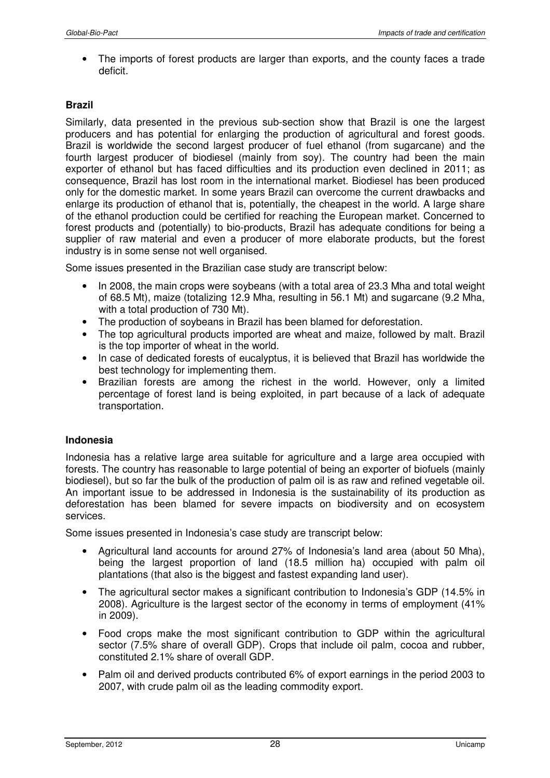• The imports of forest products are larger than exports, and the county faces a trade deficit.

### **Brazil**

Similarly, data presented in the previous sub-section show that Brazil is one the largest producers and has potential for enlarging the production of agricultural and forest goods. Brazil is worldwide the second largest producer of fuel ethanol (from sugarcane) and the fourth largest producer of biodiesel (mainly from soy). The country had been the main exporter of ethanol but has faced difficulties and its production even declined in 2011; as consequence, Brazil has lost room in the international market. Biodiesel has been produced only for the domestic market. In some years Brazil can overcome the current drawbacks and enlarge its production of ethanol that is, potentially, the cheapest in the world. A large share of the ethanol production could be certified for reaching the European market. Concerned to forest products and (potentially) to bio-products, Brazil has adequate conditions for being a supplier of raw material and even a producer of more elaborate products, but the forest industry is in some sense not well organised.

Some issues presented in the Brazilian case study are transcript below:

- In 2008, the main crops were soybeans (with a total area of 23.3 Mha and total weight of 68.5 Mt), maize (totalizing 12.9 Mha, resulting in 56.1 Mt) and sugarcane (9.2 Mha, with a total production of 730 Mt).
- The production of soybeans in Brazil has been blamed for deforestation.
- The top agricultural products imported are wheat and maize, followed by malt. Brazil is the top importer of wheat in the world.
- In case of dedicated forests of eucalyptus, it is believed that Brazil has worldwide the best technology for implementing them.
- Brazilian forests are among the richest in the world. However, only a limited percentage of forest land is being exploited, in part because of a lack of adequate transportation.

### **Indonesia**

Indonesia has a relative large area suitable for agriculture and a large area occupied with forests. The country has reasonable to large potential of being an exporter of biofuels (mainly biodiesel), but so far the bulk of the production of palm oil is as raw and refined vegetable oil. An important issue to be addressed in Indonesia is the sustainability of its production as deforestation has been blamed for severe impacts on biodiversity and on ecosystem services.

Some issues presented in Indonesia's case study are transcript below:

- Agricultural land accounts for around 27% of Indonesia's land area (about 50 Mha), being the largest proportion of land (18.5 million ha) occupied with palm oil plantations (that also is the biggest and fastest expanding land user).
- The agricultural sector makes a significant contribution to Indonesia's GDP (14.5% in 2008). Agriculture is the largest sector of the economy in terms of employment (41% in 2009).
- Food crops make the most significant contribution to GDP within the agricultural sector (7.5% share of overall GDP). Crops that include oil palm, cocoa and rubber, constituted 2.1% share of overall GDP.
- Palm oil and derived products contributed 6% of export earnings in the period 2003 to 2007, with crude palm oil as the leading commodity export.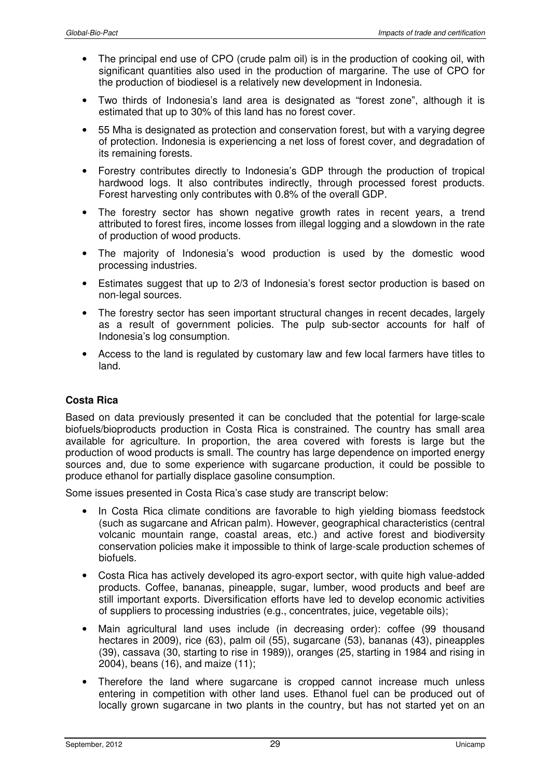- The principal end use of CPO (crude palm oil) is in the production of cooking oil, with significant quantities also used in the production of margarine. The use of CPO for the production of biodiesel is a relatively new development in Indonesia.
- Two thirds of Indonesia's land area is designated as "forest zone", although it is estimated that up to 30% of this land has no forest cover.
- 55 Mha is designated as protection and conservation forest, but with a varying degree of protection. Indonesia is experiencing a net loss of forest cover, and degradation of its remaining forests.
- Forestry contributes directly to Indonesia's GDP through the production of tropical hardwood logs. It also contributes indirectly, through processed forest products. Forest harvesting only contributes with 0.8% of the overall GDP.
- The forestry sector has shown negative growth rates in recent years, a trend attributed to forest fires, income losses from illegal logging and a slowdown in the rate of production of wood products.
- The majority of Indonesia's wood production is used by the domestic wood processing industries.
- Estimates suggest that up to 2/3 of Indonesia's forest sector production is based on non-legal sources.
- The forestry sector has seen important structural changes in recent decades, largely as a result of government policies. The pulp sub-sector accounts for half of Indonesia's log consumption.
- Access to the land is regulated by customary law and few local farmers have titles to land.

## **Costa Rica**

Based on data previously presented it can be concluded that the potential for large-scale biofuels/bioproducts production in Costa Rica is constrained. The country has small area available for agriculture. In proportion, the area covered with forests is large but the production of wood products is small. The country has large dependence on imported energy sources and, due to some experience with sugarcane production, it could be possible to produce ethanol for partially displace gasoline consumption.

Some issues presented in Costa Rica's case study are transcript below:

- In Costa Rica climate conditions are favorable to high yielding biomass feedstock (such as sugarcane and African palm). However, geographical characteristics (central volcanic mountain range, coastal areas, etc.) and active forest and biodiversity conservation policies make it impossible to think of large-scale production schemes of biofuels.
- Costa Rica has actively developed its agro-export sector, with quite high value-added products. Coffee, bananas, pineapple, sugar, lumber, wood products and beef are still important exports. Diversification efforts have led to develop economic activities of suppliers to processing industries (e.g., concentrates, juice, vegetable oils);
- Main agricultural land uses include (in decreasing order): coffee (99 thousand hectares in 2009), rice (63), palm oil (55), sugarcane (53), bananas (43), pineapples (39), cassava (30, starting to rise in 1989)), oranges (25, starting in 1984 and rising in 2004), beans (16), and maize (11);
- Therefore the land where sugarcane is cropped cannot increase much unless entering in competition with other land uses. Ethanol fuel can be produced out of locally grown sugarcane in two plants in the country, but has not started yet on an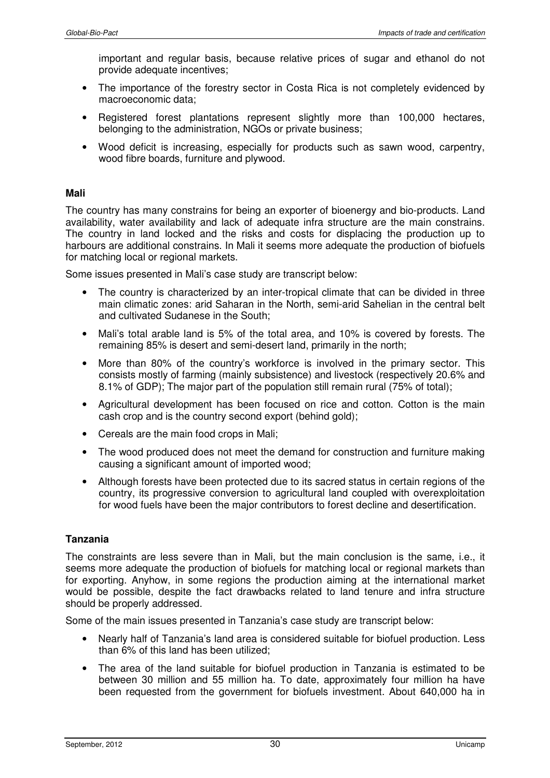important and regular basis, because relative prices of sugar and ethanol do not provide adequate incentives;

- The importance of the forestry sector in Costa Rica is not completely evidenced by macroeconomic data;
- Registered forest plantations represent slightly more than 100,000 hectares, belonging to the administration, NGOs or private business;
- Wood deficit is increasing, especially for products such as sawn wood, carpentry, wood fibre boards, furniture and plywood.

### **Mali**

The country has many constrains for being an exporter of bioenergy and bio-products. Land availability, water availability and lack of adequate infra structure are the main constrains. The country in land locked and the risks and costs for displacing the production up to harbours are additional constrains. In Mali it seems more adequate the production of biofuels for matching local or regional markets.

Some issues presented in Mali's case study are transcript below:

- The country is characterized by an inter-tropical climate that can be divided in three main climatic zones: arid Saharan in the North, semi-arid Sahelian in the central belt and cultivated Sudanese in the South;
- Mali's total arable land is 5% of the total area, and 10% is covered by forests. The remaining 85% is desert and semi-desert land, primarily in the north;
- More than 80% of the country's workforce is involved in the primary sector. This consists mostly of farming (mainly subsistence) and livestock (respectively 20.6% and 8.1% of GDP); The major part of the population still remain rural (75% of total);
- Agricultural development has been focused on rice and cotton. Cotton is the main cash crop and is the country second export (behind gold);
- Cereals are the main food crops in Mali;
- The wood produced does not meet the demand for construction and furniture making causing a significant amount of imported wood;
- Although forests have been protected due to its sacred status in certain regions of the country, its progressive conversion to agricultural land coupled with overexploitation for wood fuels have been the major contributors to forest decline and desertification.

### **Tanzania**

The constraints are less severe than in Mali, but the main conclusion is the same, i.e., it seems more adequate the production of biofuels for matching local or regional markets than for exporting. Anyhow, in some regions the production aiming at the international market would be possible, despite the fact drawbacks related to land tenure and infra structure should be properly addressed.

Some of the main issues presented in Tanzania's case study are transcript below:

- Nearly half of Tanzania's land area is considered suitable for biofuel production. Less than 6% of this land has been utilized;
- The area of the land suitable for biofuel production in Tanzania is estimated to be between 30 million and 55 million ha. To date, approximately four million ha have been requested from the government for biofuels investment. About 640,000 ha in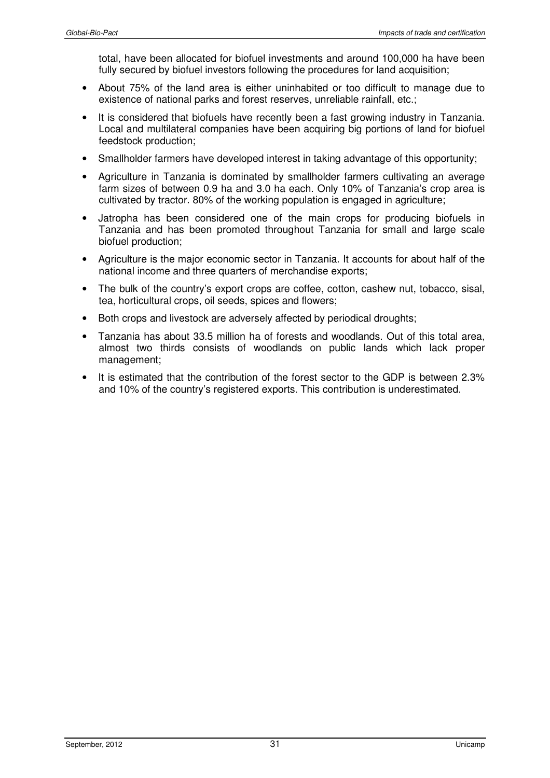total, have been allocated for biofuel investments and around 100,000 ha have been fully secured by biofuel investors following the procedures for land acquisition;

- About 75% of the land area is either uninhabited or too difficult to manage due to existence of national parks and forest reserves, unreliable rainfall, etc.;
- It is considered that biofuels have recently been a fast growing industry in Tanzania. Local and multilateral companies have been acquiring big portions of land for biofuel feedstock production;
- Smallholder farmers have developed interest in taking advantage of this opportunity:
- Agriculture in Tanzania is dominated by smallholder farmers cultivating an average farm sizes of between 0.9 ha and 3.0 ha each. Only 10% of Tanzania's crop area is cultivated by tractor. 80% of the working population is engaged in agriculture;
- Jatropha has been considered one of the main crops for producing biofuels in Tanzania and has been promoted throughout Tanzania for small and large scale biofuel production;
- Agriculture is the major economic sector in Tanzania. It accounts for about half of the national income and three quarters of merchandise exports;
- The bulk of the country's export crops are coffee, cotton, cashew nut, tobacco, sisal, tea, horticultural crops, oil seeds, spices and flowers;
- Both crops and livestock are adversely affected by periodical droughts;
- Tanzania has about 33.5 million ha of forests and woodlands. Out of this total area, almost two thirds consists of woodlands on public lands which lack proper management;
- It is estimated that the contribution of the forest sector to the GDP is between 2.3% and 10% of the country's registered exports. This contribution is underestimated.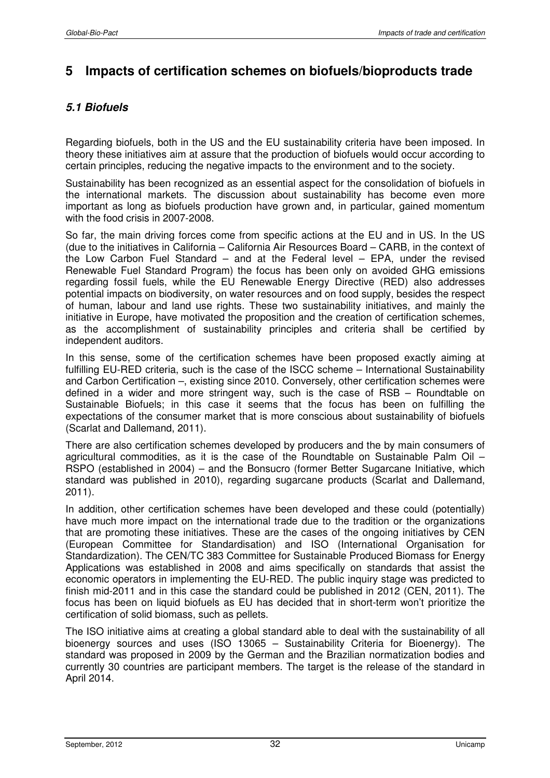# **5 Impacts of certification schemes on biofuels/bioproducts trade**

# **5.1 Biofuels**

Regarding biofuels, both in the US and the EU sustainability criteria have been imposed. In theory these initiatives aim at assure that the production of biofuels would occur according to certain principles, reducing the negative impacts to the environment and to the society.

Sustainability has been recognized as an essential aspect for the consolidation of biofuels in the international markets. The discussion about sustainability has become even more important as long as biofuels production have grown and, in particular, gained momentum with the food crisis in 2007-2008.

So far, the main driving forces come from specific actions at the EU and in US. In the US (due to the initiatives in California – California Air Resources Board – CARB, in the context of the Low Carbon Fuel Standard – and at the Federal level – EPA, under the revised Renewable Fuel Standard Program) the focus has been only on avoided GHG emissions regarding fossil fuels, while the EU Renewable Energy Directive (RED) also addresses potential impacts on biodiversity, on water resources and on food supply, besides the respect of human, labour and land use rights. These two sustainability initiatives, and mainly the initiative in Europe, have motivated the proposition and the creation of certification schemes, as the accomplishment of sustainability principles and criteria shall be certified by independent auditors.

In this sense, some of the certification schemes have been proposed exactly aiming at fulfilling EU-RED criteria, such is the case of the ISCC scheme – International Sustainability and Carbon Certification –, existing since 2010. Conversely, other certification schemes were defined in a wider and more stringent way, such is the case of RSB – Roundtable on Sustainable Biofuels; in this case it seems that the focus has been on fulfilling the expectations of the consumer market that is more conscious about sustainability of biofuels (Scarlat and Dallemand, 2011).

There are also certification schemes developed by producers and the by main consumers of agricultural commodities, as it is the case of the Roundtable on Sustainable Palm Oil – RSPO (established in 2004) – and the Bonsucro (former Better Sugarcane Initiative, which standard was published in 2010), regarding sugarcane products (Scarlat and Dallemand, 2011).

In addition, other certification schemes have been developed and these could (potentially) have much more impact on the international trade due to the tradition or the organizations that are promoting these initiatives. These are the cases of the ongoing initiatives by CEN (European Committee for Standardisation) and ISO (International Organisation for Standardization). The CEN/TC 383 Committee for Sustainable Produced Biomass for Energy Applications was established in 2008 and aims specifically on standards that assist the economic operators in implementing the EU-RED. The public inquiry stage was predicted to finish mid-2011 and in this case the standard could be published in 2012 (CEN, 2011). The focus has been on liquid biofuels as EU has decided that in short-term won't prioritize the certification of solid biomass, such as pellets.

The ISO initiative aims at creating a global standard able to deal with the sustainability of all bioenergy sources and uses (ISO 13065 – Sustainability Criteria for Bioenergy). The standard was proposed in 2009 by the German and the Brazilian normatization bodies and currently 30 countries are participant members. The target is the release of the standard in April 2014.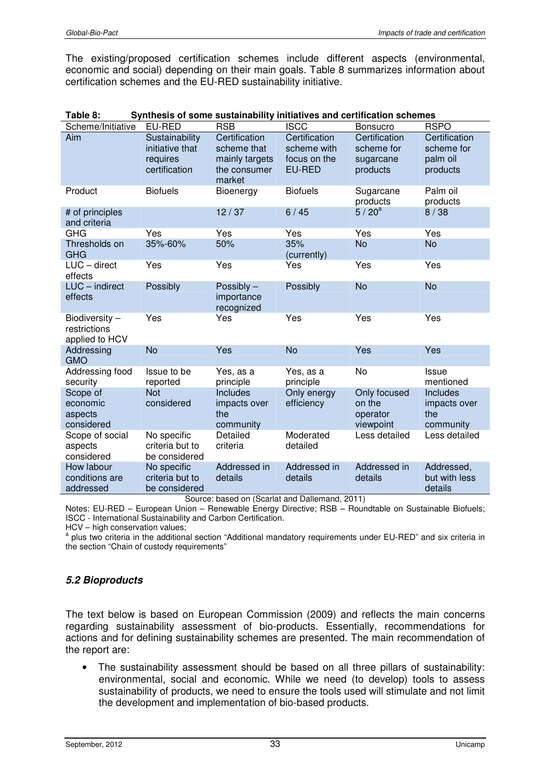The existing/proposed certification schemes include different aspects (environmental, economic and social) depending on their main goals. Table 8 summarizes information about certification schemes and the EU-RED sustainability initiative.

| Table o:                                        | Synthesis of some sustainability initiatives and certification scriemes |                                                                          |                                                               |                                                      |                                                     |
|-------------------------------------------------|-------------------------------------------------------------------------|--------------------------------------------------------------------------|---------------------------------------------------------------|------------------------------------------------------|-----------------------------------------------------|
| Scheme/Initiative                               | EU-RED                                                                  | <b>RSB</b>                                                               | <b>ISCC</b>                                                   | <b>Bonsucro</b>                                      | <b>RSPO</b>                                         |
| Aim                                             | Sustainability<br>initiative that<br>requires<br>certification          | Certification<br>scheme that<br>mainly targets<br>the consumer<br>market | Certification<br>scheme with<br>focus on the<br><b>EU-RED</b> | Certification<br>scheme for<br>sugarcane<br>products | Certification<br>scheme for<br>palm oil<br>products |
| Product                                         | <b>Biofuels</b>                                                         | Bioenergy                                                                | <b>Biofuels</b>                                               | Sugarcane<br>products                                | Palm oil<br>products                                |
| # of principles<br>and criteria                 |                                                                         | 12/37                                                                    | 6/45                                                          | $5/20^{a}$                                           | 8/38                                                |
| <b>GHG</b>                                      | Yes                                                                     | Yes                                                                      | Yes                                                           | Yes                                                  | Yes                                                 |
| Thresholds on<br><b>GHG</b>                     | 35%-60%                                                                 | 50%                                                                      | 35%<br>(currently)                                            | <b>No</b>                                            | <b>No</b>                                           |
| $LUC - direct$<br>effects                       | Yes                                                                     | Yes                                                                      | Yes                                                           | Yes                                                  | Yes                                                 |
| LUC - indirect<br>effects                       | Possibly                                                                | Possibly -<br>importance<br>recognized                                   | Possibly                                                      | <b>No</b>                                            | <b>No</b>                                           |
| Biodiversity-<br>restrictions<br>applied to HCV | Yes                                                                     | Yes                                                                      | Yes                                                           | Yes                                                  | Yes                                                 |
| Addressing<br><b>GMO</b>                        | <b>No</b>                                                               | Yes                                                                      | <b>No</b>                                                     | Yes                                                  | Yes                                                 |
| Addressing food<br>security                     | Issue to be<br>reported                                                 | Yes, as a<br>principle                                                   | Yes, as a<br>principle                                        | No                                                   | Issue<br>mentioned                                  |
| Scope of<br>economic<br>aspects<br>considered   | <b>Not</b><br>considered                                                | Includes<br>impacts over<br>the<br>community                             | Only energy<br>efficiency                                     | Only focused<br>on the<br>operator<br>viewpoint      | Includes<br>impacts over<br>the<br>community        |
| Scope of social<br>aspects<br>considered        | No specific<br>criteria but to<br>be considered                         | Detailed<br>criteria                                                     | Moderated<br>detailed                                         | Less detailed                                        | Less detailed                                       |
| How labour<br>conditions are<br>addressed       | No specific<br>criteria but to<br>be considered<br>$\sim$               | Addressed in<br>details<br>$\sim$                                        | Addressed in<br>details<br>$10 - 11$                          | Addressed in<br>details<br>$\overline{a}$            | Addressed,<br>but with less<br>details              |

| Table 8: |  | Synthesis of some sustainability initiatives and certification schemes |
|----------|--|------------------------------------------------------------------------|
|----------|--|------------------------------------------------------------------------|

Source: based on (Scarlat and Dallemand, 2011)

Notes: EU-RED – European Union – Renewable Energy Directive; RSB – Roundtable on Sustainable Biofuels; ISCC - International Sustainability and Carbon Certification.

HCV – high conservation values;

<sup>a</sup> plus two criteria in the additional section "Additional mandatory requirements under EU-RED" and six criteria in the section "Chain of custody requirements"

### **5.2 Bioproducts**

The text below is based on European Commission (2009) and reflects the main concerns regarding sustainability assessment of bio-products. Essentially, recommendations for actions and for defining sustainability schemes are presented. The main recommendation of the report are:

• The sustainability assessment should be based on all three pillars of sustainability: environmental, social and economic. While we need (to develop) tools to assess sustainability of products, we need to ensure the tools used will stimulate and not limit the development and implementation of bio-based products.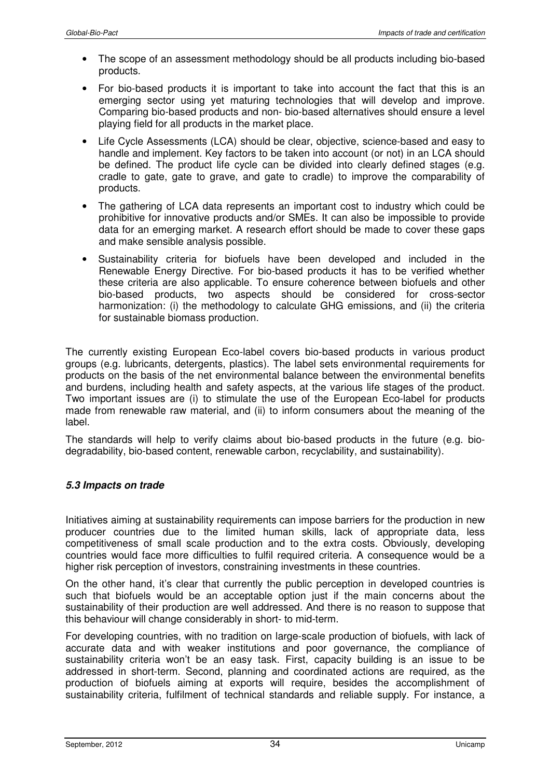- The scope of an assessment methodology should be all products including bio-based products.
- For bio-based products it is important to take into account the fact that this is an emerging sector using yet maturing technologies that will develop and improve. Comparing bio-based products and non- bio-based alternatives should ensure a level playing field for all products in the market place.
- Life Cycle Assessments (LCA) should be clear, objective, science-based and easy to handle and implement. Key factors to be taken into account (or not) in an LCA should be defined. The product life cycle can be divided into clearly defined stages (e.g. cradle to gate, gate to grave, and gate to cradle) to improve the comparability of products.
- The gathering of LCA data represents an important cost to industry which could be prohibitive for innovative products and/or SMEs. It can also be impossible to provide data for an emerging market. A research effort should be made to cover these gaps and make sensible analysis possible.
- Sustainability criteria for biofuels have been developed and included in the Renewable Energy Directive. For bio-based products it has to be verified whether these criteria are also applicable. To ensure coherence between biofuels and other bio-based products, two aspects should be considered for cross-sector harmonization: (i) the methodology to calculate GHG emissions, and (ii) the criteria for sustainable biomass production.

The currently existing European Eco-label covers bio-based products in various product groups (e.g. lubricants, detergents, plastics). The label sets environmental requirements for products on the basis of the net environmental balance between the environmental benefits and burdens, including health and safety aspects, at the various life stages of the product. Two important issues are (i) to stimulate the use of the European Eco-label for products made from renewable raw material, and (ii) to inform consumers about the meaning of the label.

The standards will help to verify claims about bio-based products in the future (e.g. biodegradability, bio-based content, renewable carbon, recyclability, and sustainability).

### **5.3 Impacts on trade**

Initiatives aiming at sustainability requirements can impose barriers for the production in new producer countries due to the limited human skills, lack of appropriate data, less competitiveness of small scale production and to the extra costs. Obviously, developing countries would face more difficulties to fulfil required criteria. A consequence would be a higher risk perception of investors, constraining investments in these countries.

On the other hand, it's clear that currently the public perception in developed countries is such that biofuels would be an acceptable option just if the main concerns about the sustainability of their production are well addressed. And there is no reason to suppose that this behaviour will change considerably in short- to mid-term.

For developing countries, with no tradition on large-scale production of biofuels, with lack of accurate data and with weaker institutions and poor governance, the compliance of sustainability criteria won't be an easy task. First, capacity building is an issue to be addressed in short-term. Second, planning and coordinated actions are required, as the production of biofuels aiming at exports will require, besides the accomplishment of sustainability criteria, fulfilment of technical standards and reliable supply. For instance, a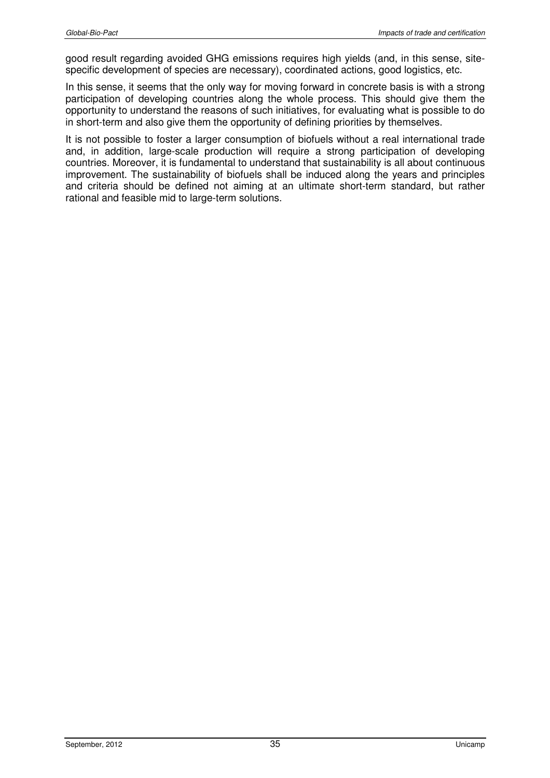good result regarding avoided GHG emissions requires high yields (and, in this sense, sitespecific development of species are necessary), coordinated actions, good logistics, etc.

In this sense, it seems that the only way for moving forward in concrete basis is with a strong participation of developing countries along the whole process. This should give them the opportunity to understand the reasons of such initiatives, for evaluating what is possible to do in short-term and also give them the opportunity of defining priorities by themselves.

It is not possible to foster a larger consumption of biofuels without a real international trade and, in addition, large-scale production will require a strong participation of developing countries. Moreover, it is fundamental to understand that sustainability is all about continuous improvement. The sustainability of biofuels shall be induced along the years and principles and criteria should be defined not aiming at an ultimate short-term standard, but rather rational and feasible mid to large-term solutions.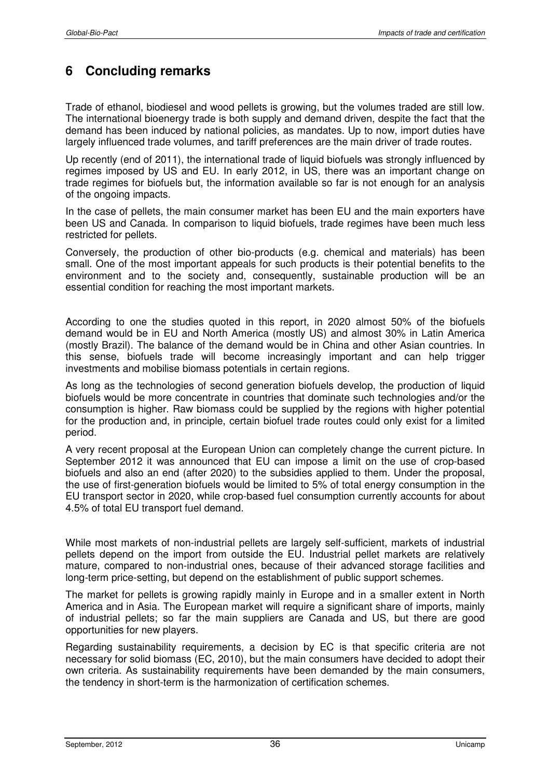# **6 Concluding remarks**

Trade of ethanol, biodiesel and wood pellets is growing, but the volumes traded are still low. The international bioenergy trade is both supply and demand driven, despite the fact that the demand has been induced by national policies, as mandates. Up to now, import duties have largely influenced trade volumes, and tariff preferences are the main driver of trade routes.

Up recently (end of 2011), the international trade of liquid biofuels was strongly influenced by regimes imposed by US and EU. In early 2012, in US, there was an important change on trade regimes for biofuels but, the information available so far is not enough for an analysis of the ongoing impacts.

In the case of pellets, the main consumer market has been EU and the main exporters have been US and Canada. In comparison to liquid biofuels, trade regimes have been much less restricted for pellets.

Conversely, the production of other bio-products (e.g. chemical and materials) has been small. One of the most important appeals for such products is their potential benefits to the environment and to the society and, consequently, sustainable production will be an essential condition for reaching the most important markets.

According to one the studies quoted in this report, in 2020 almost 50% of the biofuels demand would be in EU and North America (mostly US) and almost 30% in Latin America (mostly Brazil). The balance of the demand would be in China and other Asian countries. In this sense, biofuels trade will become increasingly important and can help trigger investments and mobilise biomass potentials in certain regions.

As long as the technologies of second generation biofuels develop, the production of liquid biofuels would be more concentrate in countries that dominate such technologies and/or the consumption is higher. Raw biomass could be supplied by the regions with higher potential for the production and, in principle, certain biofuel trade routes could only exist for a limited period.

A very recent proposal at the European Union can completely change the current picture. In September 2012 it was announced that EU can impose a limit on the use of crop-based biofuels and also an end (after 2020) to the subsidies applied to them. Under the proposal, the use of first-generation biofuels would be limited to 5% of total energy consumption in the EU transport sector in 2020, while crop-based fuel consumption currently accounts for about 4.5% of total EU transport fuel demand.

While most markets of non-industrial pellets are largely self-sufficient, markets of industrial pellets depend on the import from outside the EU. Industrial pellet markets are relatively mature, compared to non-industrial ones, because of their advanced storage facilities and long-term price-setting, but depend on the establishment of public support schemes.

The market for pellets is growing rapidly mainly in Europe and in a smaller extent in North America and in Asia. The European market will require a significant share of imports, mainly of industrial pellets; so far the main suppliers are Canada and US, but there are good opportunities for new players.

Regarding sustainability requirements, a decision by EC is that specific criteria are not necessary for solid biomass (EC, 2010), but the main consumers have decided to adopt their own criteria. As sustainability requirements have been demanded by the main consumers, the tendency in short-term is the harmonization of certification schemes.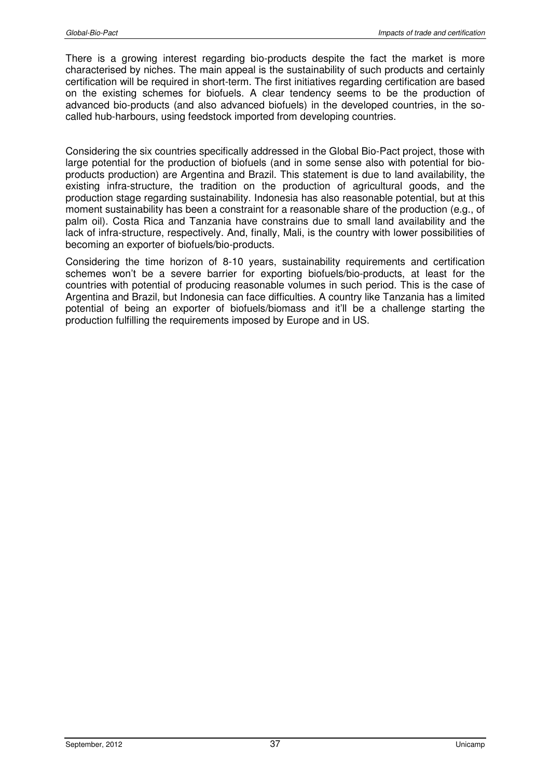There is a growing interest regarding bio-products despite the fact the market is more characterised by niches. The main appeal is the sustainability of such products and certainly certification will be required in short-term. The first initiatives regarding certification are based on the existing schemes for biofuels. A clear tendency seems to be the production of advanced bio-products (and also advanced biofuels) in the developed countries, in the socalled hub-harbours, using feedstock imported from developing countries.

Considering the six countries specifically addressed in the Global Bio-Pact project, those with large potential for the production of biofuels (and in some sense also with potential for bioproducts production) are Argentina and Brazil. This statement is due to land availability, the existing infra-structure, the tradition on the production of agricultural goods, and the production stage regarding sustainability. Indonesia has also reasonable potential, but at this moment sustainability has been a constraint for a reasonable share of the production (e.g., of palm oil). Costa Rica and Tanzania have constrains due to small land availability and the lack of infra-structure, respectively. And, finally, Mali, is the country with lower possibilities of becoming an exporter of biofuels/bio-products.

Considering the time horizon of 8-10 years, sustainability requirements and certification schemes won't be a severe barrier for exporting biofuels/bio-products, at least for the countries with potential of producing reasonable volumes in such period. This is the case of Argentina and Brazil, but Indonesia can face difficulties. A country like Tanzania has a limited potential of being an exporter of biofuels/biomass and it'll be a challenge starting the production fulfilling the requirements imposed by Europe and in US.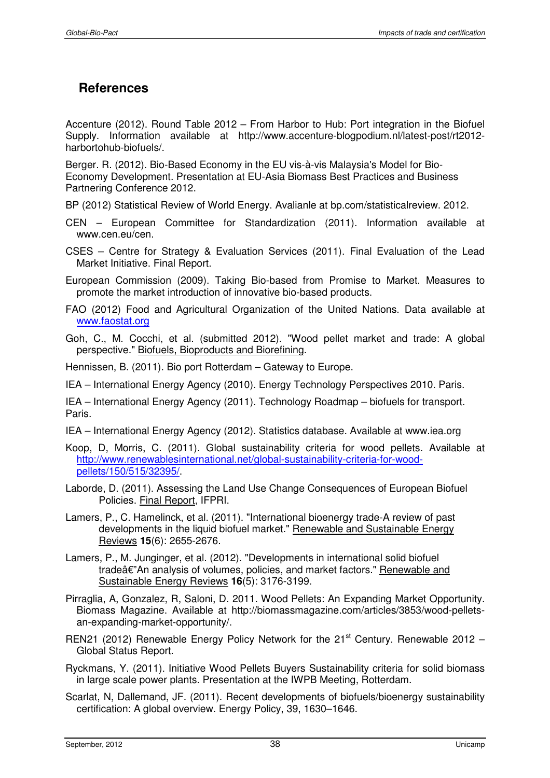# **References**

Accenture (2012). Round Table 2012 – From Harbor to Hub: Port integration in the Biofuel Supply. Information available at http://www.accenture-blogpodium.nl/latest-post/rt2012 harbortohub-biofuels/.

Berger. R. (2012). Bio-Based Economy in the EU vis-à-vis Malaysia's Model for Bio-Economy Development. Presentation at EU-Asia Biomass Best Practices and Business Partnering Conference 2012.

BP (2012) Statistical Review of World Energy. Avalianle at bp.com/statisticalreview. 2012.

- CEN European Committee for Standardization (2011). Information available at www.cen.eu/cen.
- CSES Centre for Strategy & Evaluation Services (2011). Final Evaluation of the Lead Market Initiative. Final Report.

European Commission (2009). Taking Bio-based from Promise to Market. Measures to promote the market introduction of innovative bio-based products.

FAO (2012) Food and Agricultural Organization of the United Nations. Data available at www.faostat.org

Goh, C., M. Cocchi, et al. (submitted 2012). "Wood pellet market and trade: A global perspective." Biofuels, Bioproducts and Biorefining.

Hennissen, B. (2011). Bio port Rotterdam – Gateway to Europe.

IEA – International Energy Agency (2010). Energy Technology Perspectives 2010. Paris.

IEA – International Energy Agency (2011). Technology Roadmap – biofuels for transport. Paris.

IEA – International Energy Agency (2012). Statistics database. Available at www.iea.org

- Koop, D, Morris, C. (2011). Global sustainability criteria for wood pellets. Available at http://www.renewablesinternational.net/global-sustainability-criteria-for-woodpellets/150/515/32395/.
- Laborde, D. (2011). Assessing the Land Use Change Consequences of European Biofuel Policies. Final Report, IFPRI.
- Lamers, P., C. Hamelinck, et al. (2011). "International bioenergy trade-A review of past developments in the liquid biofuel market." Renewable and Sustainable Energy Reviews **15**(6): 2655-2676.
- Lamers, P., M. Junginger, et al. (2012). "Developments in international solid biofuel tradeâ€"An analysis of volumes, policies, and market factors." Renewable and Sustainable Energy Reviews **16**(5): 3176-3199.
- Pirraglia, A, Gonzalez, R, Saloni, D. 2011. Wood Pellets: An Expanding Market Opportunity. Biomass Magazine. Available at http://biomassmagazine.com/articles/3853/wood-pelletsan-expanding-market-opportunity/.
- REN21 (2012) Renewable Energy Policy Network for the  $21<sup>st</sup>$  Century. Renewable 2012 Global Status Report.
- Ryckmans, Y. (2011). Initiative Wood Pellets Buyers Sustainability criteria for solid biomass in large scale power plants. Presentation at the IWPB Meeting, Rotterdam.
- Scarlat, N, Dallemand, JF. (2011). Recent developments of biofuels/bioenergy sustainability certification: A global overview. Energy Policy, 39, 1630–1646.